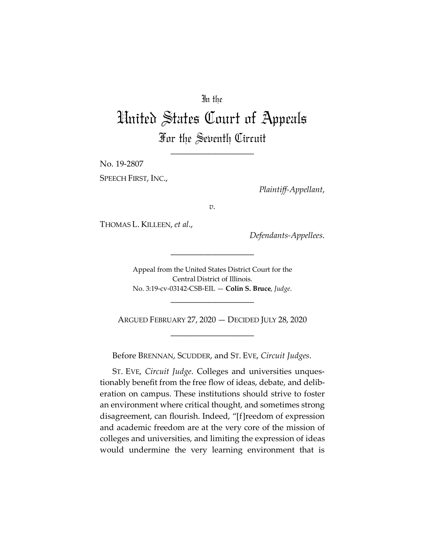# In the

# United States Court of Appeals For the Seventh Circuit

\_\_\_\_\_\_\_\_\_\_\_\_\_\_\_\_\_\_\_\_

No. 19-2807

SPEECH FIRST, INC.,

*Plaintiff-Appellant*,

*v.*

THOMAS L. KILLEEN, *et al*.,

*Defendants-Appellees*.

Appeal from the United States District Court for the Central District of Illinois. No. 3:19-cv-03142-CSB-EIL — **Colin S. Bruce**, *Judge*.

\_\_\_\_\_\_\_\_\_\_\_\_\_\_\_\_\_\_\_\_

ARGUED FEBRUARY 27, 2020 — DECIDED JULY 28, 2020 \_\_\_\_\_\_\_\_\_\_\_\_\_\_\_\_\_\_\_\_

\_\_\_\_\_\_\_\_\_\_\_\_\_\_\_\_\_\_\_\_

Before BRENNAN, SCUDDER, and ST. EVE, *Circuit Judges*.

ST. EVE, *Circuit Judge*. Colleges and universities unquestionably benefit from the free flow of ideas, debate, and deliberation on campus. These institutions should strive to foster an environment where critical thought, and sometimes strong disagreement, can flourish. Indeed, "[f]reedom of expression and academic freedom are at the very core of the mission of colleges and universities, and limiting the expression of ideas would undermine the very learning environment that is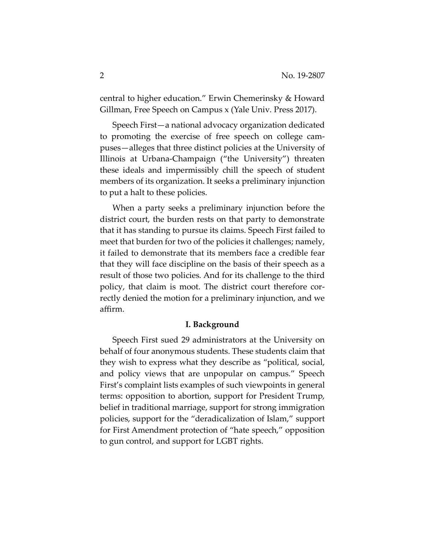central to higher education." Erwin Chemerinsky & Howard Gillman, Free Speech on Campus x (Yale Univ. Press 2017).

Speech First—a national advocacy organization dedicated to promoting the exercise of free speech on college campuses—alleges that three distinct policies at the University of Illinois at Urbana-Champaign ("the University") threaten these ideals and impermissibly chill the speech of student members of its organization. It seeks a preliminary injunction to put a halt to these policies.

When a party seeks a preliminary injunction before the district court, the burden rests on that party to demonstrate that it has standing to pursue its claims. Speech First failed to meet that burden for two of the policies it challenges; namely, it failed to demonstrate that its members face a credible fear that they will face discipline on the basis of their speech as a result of those two policies. And for its challenge to the third policy, that claim is moot. The district court therefore correctly denied the motion for a preliminary injunction, and we affirm.

#### **I. Background**

Speech First sued 29 administrators at the University on behalf of four anonymous students. These students claim that they wish to express what they describe as "political, social, and policy views that are unpopular on campus." Speech First's complaint lists examples of such viewpoints in general terms: opposition to abortion, support for President Trump, belief in traditional marriage, support for strong immigration policies, support for the "deradicalization of Islam," support for First Amendment protection of "hate speech," opposition to gun control, and support for LGBT rights.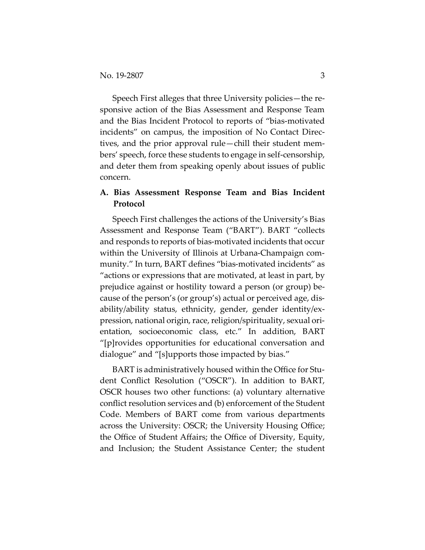Speech First alleges that three University policies—the responsive action of the Bias Assessment and Response Team and the Bias Incident Protocol to reports of "bias-motivated incidents" on campus, the imposition of No Contact Directives, and the prior approval rule—chill their student members' speech, force these students to engage in self-censorship, and deter them from speaking openly about issues of public concern.

# **A. Bias Assessment Response Team and Bias Incident Protocol**

Speech First challenges the actions of the University's Bias Assessment and Response Team ("BART"). BART "collects and responds to reports of bias-motivated incidents that occur within the University of Illinois at Urbana-Champaign community." In turn, BART defines "bias-motivated incidents" as "actions or expressions that are motivated, at least in part, by prejudice against or hostility toward a person (or group) because of the person's (or group's) actual or perceived age, disability/ability status, ethnicity, gender, gender identity/expression, national origin, race, religion/spirituality, sexual orientation, socioeconomic class, etc." In addition, BART "[p]rovides opportunities for educational conversation and dialogue" and "[s]upports those impacted by bias."

BART is administratively housed within the Office for Student Conflict Resolution ("OSCR"). In addition to BART, OSCR houses two other functions: (a) voluntary alternative conflict resolution services and (b) enforcement of the Student Code. Members of BART come from various departments across the University: OSCR; the University Housing Office; the Office of Student Affairs; the Office of Diversity, Equity, and Inclusion; the Student Assistance Center; the student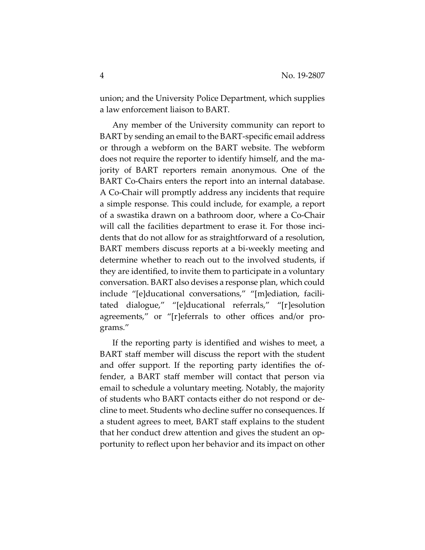union; and the University Police Department, which supplies a law enforcement liaison to BART.

Any member of the University community can report to BART by sending an email to the BART-specific email address or through a webform on the BART website. The webform does not require the reporter to identify himself, and the majority of BART reporters remain anonymous. One of the BART Co-Chairs enters the report into an internal database. A Co-Chair will promptly address any incidents that require a simple response. This could include, for example, a report of a swastika drawn on a bathroom door, where a Co-Chair will call the facilities department to erase it. For those incidents that do not allow for as straightforward of a resolution, BART members discuss reports at a bi-weekly meeting and determine whether to reach out to the involved students, if they are identified, to invite them to participate in a voluntary conversation. BART also devises a response plan, which could include "[e]ducational conversations," "[m]ediation, facilitated dialogue," "[e]ducational referrals," "[r]esolution agreements," or "[r]eferrals to other offices and/or programs."

If the reporting party is identified and wishes to meet, a BART staff member will discuss the report with the student and offer support. If the reporting party identifies the offender, a BART staff member will contact that person via email to schedule a voluntary meeting. Notably, the majority of students who BART contacts either do not respond or decline to meet. Students who decline suffer no consequences. If a student agrees to meet, BART staff explains to the student that her conduct drew attention and gives the student an opportunity to reflect upon her behavior and its impact on other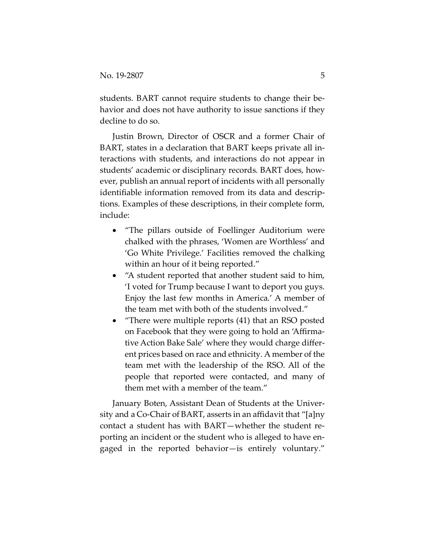students. BART cannot require students to change their behavior and does not have authority to issue sanctions if they decline to do so.

Justin Brown, Director of OSCR and a former Chair of BART, states in a declaration that BART keeps private all interactions with students, and interactions do not appear in students' academic or disciplinary records. BART does, however, publish an annual report of incidents with all personally identifiable information removed from its data and descriptions. Examples of these descriptions, in their complete form, include:

- "The pillars outside of Foellinger Auditorium were chalked with the phrases, 'Women are Worthless' and 'Go White Privilege.' Facilities removed the chalking within an hour of it being reported."
- "A student reported that another student said to him, 'I voted for Trump because I want to deport you guys. Enjoy the last few months in America.' A member of the team met with both of the students involved."
- "There were multiple reports (41) that an RSO posted on Facebook that they were going to hold an 'Affirmative Action Bake Sale' where they would charge different prices based on race and ethnicity. A member of the team met with the leadership of the RSO. All of the people that reported were contacted, and many of them met with a member of the team."

January Boten, Assistant Dean of Students at the University and a Co-Chair of BART, asserts in an affidavit that "[a]ny contact a student has with BART—whether the student reporting an incident or the student who is alleged to have engaged in the reported behavior—is entirely voluntary."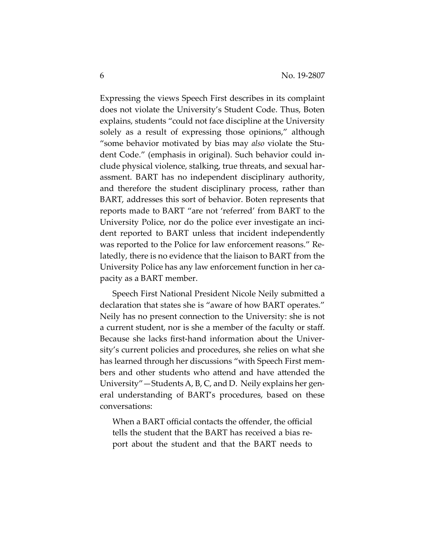Expressing the views Speech First describes in its complaint does not violate the University's Student Code. Thus, Boten explains, students "could not face discipline at the University solely as a result of expressing those opinions," although "some behavior motivated by bias may *also* violate the Student Code." (emphasis in original). Such behavior could include physical violence, stalking, true threats, and sexual harassment. BART has no independent disciplinary authority, and therefore the student disciplinary process, rather than BART, addresses this sort of behavior. Boten represents that reports made to BART "are not 'referred' from BART to the University Police, nor do the police ever investigate an incident reported to BART unless that incident independently was reported to the Police for law enforcement reasons." Relatedly, there is no evidence that the liaison to BART from the University Police has any law enforcement function in her capacity as a BART member.

Speech First National President Nicole Neily submitted a declaration that states she is "aware of how BART operates." Neily has no present connection to the University: she is not a current student, nor is she a member of the faculty or staff. Because she lacks first-hand information about the University's current policies and procedures, she relies on what she has learned through her discussions "with Speech First members and other students who attend and have attended the University"—Students A, B, C, and D. Neily explains her general understanding of BART's procedures, based on these conversations:

When a BART official contacts the offender, the official tells the student that the BART has received a bias report about the student and that the BART needs to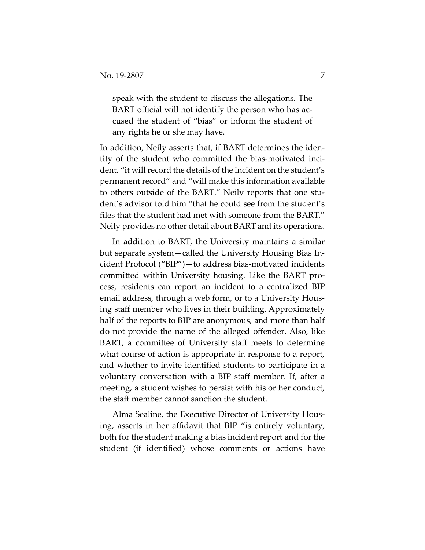speak with the student to discuss the allegations. The BART official will not identify the person who has accused the student of "bias" or inform the student of any rights he or she may have.

In addition, Neily asserts that, if BART determines the identity of the student who committed the bias-motivated incident, "it will record the details of the incident on the student's permanent record" and "will make this information available to others outside of the BART." Neily reports that one student's advisor told him "that he could see from the student's files that the student had met with someone from the BART." Neily provides no other detail about BART and its operations.

In addition to BART, the University maintains a similar but separate system—called the University Housing Bias Incident Protocol ("BIP")—to address bias-motivated incidents committed within University housing. Like the BART process, residents can report an incident to a centralized BIP email address, through a web form, or to a University Housing staff member who lives in their building. Approximately half of the reports to BIP are anonymous, and more than half do not provide the name of the alleged offender. Also, like BART, a committee of University staff meets to determine what course of action is appropriate in response to a report, and whether to invite identified students to participate in a voluntary conversation with a BIP staff member. If, after a meeting, a student wishes to persist with his or her conduct, the staff member cannot sanction the student.

Alma Sealine, the Executive Director of University Housing, asserts in her affidavit that BIP "is entirely voluntary, both for the student making a bias incident report and for the student (if identified) whose comments or actions have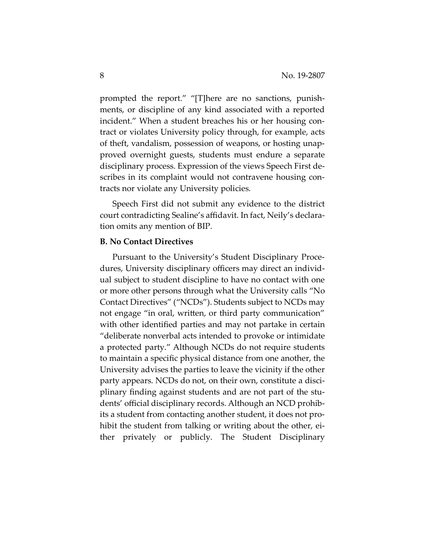prompted the report." "[T]here are no sanctions, punishments, or discipline of any kind associated with a reported incident." When a student breaches his or her housing contract or violates University policy through, for example, acts of theft, vandalism, possession of weapons, or hosting unapproved overnight guests, students must endure a separate disciplinary process. Expression of the views Speech First describes in its complaint would not contravene housing contracts nor violate any University policies.

Speech First did not submit any evidence to the district court contradicting Sealine's affidavit. In fact, Neily's declaration omits any mention of BIP.

#### **B. No Contact Directives**

Pursuant to the University's Student Disciplinary Procedures, University disciplinary officers may direct an individual subject to student discipline to have no contact with one or more other persons through what the University calls "No Contact Directives" ("NCDs"). Students subject to NCDs may not engage "in oral, written, or third party communication" with other identified parties and may not partake in certain "deliberate nonverbal acts intended to provoke or intimidate a protected party." Although NCDs do not require students to maintain a specific physical distance from one another, the University advises the parties to leave the vicinity if the other party appears. NCDs do not, on their own, constitute a disciplinary finding against students and are not part of the students' official disciplinary records. Although an NCD prohibits a student from contacting another student, it does not prohibit the student from talking or writing about the other, either privately or publicly. The Student Disciplinary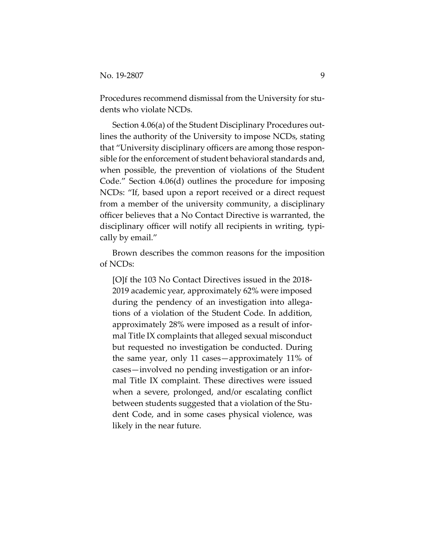Procedures recommend dismissal from the University for students who violate NCDs.

Section 4.06(a) of the Student Disciplinary Procedures outlines the authority of the University to impose NCDs, stating that "University disciplinary officers are among those responsible for the enforcement of student behavioral standards and, when possible, the prevention of violations of the Student Code." Section 4.06(d) outlines the procedure for imposing NCDs: "If, based upon a report received or a direct request from a member of the university community, a disciplinary officer believes that a No Contact Directive is warranted, the disciplinary officer will notify all recipients in writing, typically by email."

Brown describes the common reasons for the imposition of NCDs:

[O]f the 103 No Contact Directives issued in the 2018- 2019 academic year, approximately 62% were imposed during the pendency of an investigation into allegations of a violation of the Student Code. In addition, approximately 28% were imposed as a result of informal Title IX complaints that alleged sexual misconduct but requested no investigation be conducted. During the same year, only 11 cases—approximately 11% of cases—involved no pending investigation or an informal Title IX complaint. These directives were issued when a severe, prolonged, and/or escalating conflict between students suggested that a violation of the Student Code, and in some cases physical violence, was likely in the near future.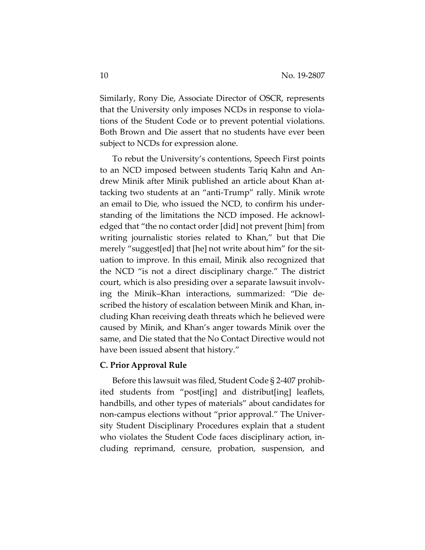Similarly, Rony Die, Associate Director of OSCR, represents that the University only imposes NCDs in response to violations of the Student Code or to prevent potential violations. Both Brown and Die assert that no students have ever been subject to NCDs for expression alone.

To rebut the University's contentions, Speech First points to an NCD imposed between students Tariq Kahn and Andrew Minik after Minik published an article about Khan attacking two students at an "anti-Trump" rally. Minik wrote an email to Die, who issued the NCD, to confirm his understanding of the limitations the NCD imposed. He acknowledged that "the no contact order [did] not prevent [him] from writing journalistic stories related to Khan," but that Die merely "suggest[ed] that [he] not write about him" for the situation to improve. In this email, Minik also recognized that the NCD "is not a direct disciplinary charge." The district court, which is also presiding over a separate lawsuit involving the Minik–Khan interactions, summarized: "Die described the history of escalation between Minik and Khan, including Khan receiving death threats which he believed were caused by Minik, and Khan's anger towards Minik over the same, and Die stated that the No Contact Directive would not have been issued absent that history."

#### **C. Prior Approval Rule**

Before this lawsuit was filed, Student Code § 2-407 prohibited students from "post[ing] and distribut[ing] leaflets, handbills, and other types of materials" about candidates for non-campus elections without "prior approval." The University Student Disciplinary Procedures explain that a student who violates the Student Code faces disciplinary action, including reprimand, censure, probation, suspension, and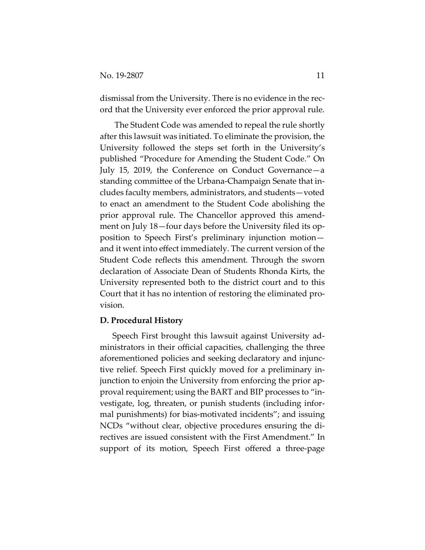dismissal from the University. There is no evidence in the record that the University ever enforced the prior approval rule.

The Student Code was amended to repeal the rule shortly after this lawsuit was initiated. To eliminate the provision, the University followed the steps set forth in the University's published "Procedure for Amending the Student Code." On July 15, 2019, the Conference on Conduct Governance—a standing committee of the Urbana-Champaign Senate that includes faculty members, administrators, and students—voted to enact an amendment to the Student Code abolishing the prior approval rule. The Chancellor approved this amendment on July 18—four days before the University filed its opposition to Speech First's preliminary injunction motion and it went into effect immediately. The current version of the Student Code reflects this amendment. Through the sworn declaration of Associate Dean of Students Rhonda Kirts, the University represented both to the district court and to this Court that it has no intention of restoring the eliminated provision.

## **D. Procedural History**

Speech First brought this lawsuit against University administrators in their official capacities, challenging the three aforementioned policies and seeking declaratory and injunctive relief. Speech First quickly moved for a preliminary injunction to enjoin the University from enforcing the prior approval requirement; using the BART and BIP processes to "investigate, log, threaten, or punish students (including informal punishments) for bias-motivated incidents"; and issuing NCDs "without clear, objective procedures ensuring the directives are issued consistent with the First Amendment." In support of its motion, Speech First offered a three-page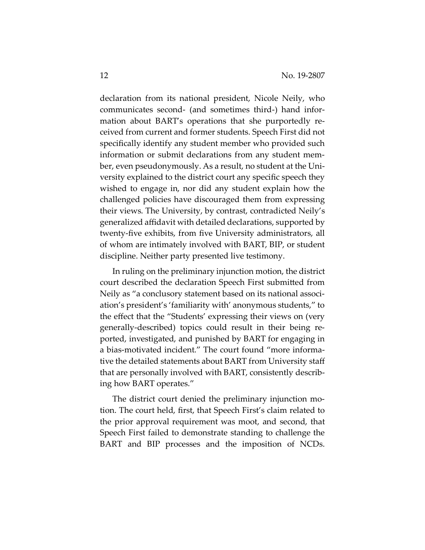declaration from its national president, Nicole Neily, who communicates second- (and sometimes third-) hand information about BART's operations that she purportedly received from current and former students. Speech First did not specifically identify any student member who provided such information or submit declarations from any student member, even pseudonymously. As a result, no student at the University explained to the district court any specific speech they wished to engage in, nor did any student explain how the challenged policies have discouraged them from expressing their views. The University, by contrast, contradicted Neily's generalized affidavit with detailed declarations, supported by twenty-five exhibits, from five University administrators, all of whom are intimately involved with BART, BIP, or student discipline. Neither party presented live testimony.

In ruling on the preliminary injunction motion, the district court described the declaration Speech First submitted from Neily as "a conclusory statement based on its national association's president's 'familiarity with' anonymous students," to the effect that the "Students' expressing their views on (very generally-described) topics could result in their being reported, investigated, and punished by BART for engaging in a bias-motivated incident." The court found "more informative the detailed statements about BART from University staff that are personally involved with BART, consistently describing how BART operates."

The district court denied the preliminary injunction motion. The court held, first, that Speech First's claim related to the prior approval requirement was moot, and second, that Speech First failed to demonstrate standing to challenge the BART and BIP processes and the imposition of NCDs.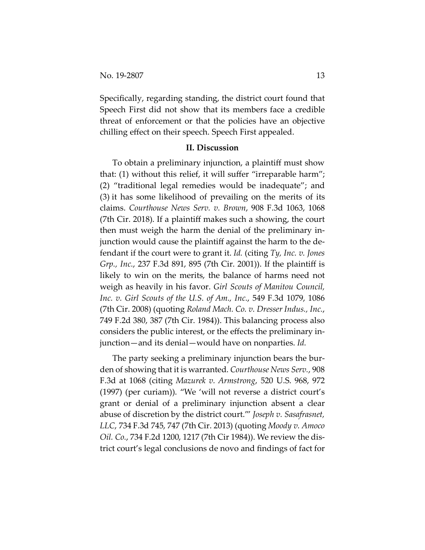Specifically, regarding standing, the district court found that Speech First did not show that its members face a credible threat of enforcement or that the policies have an objective chilling effect on their speech. Speech First appealed.

#### **II. Discussion**

To obtain a preliminary injunction, a plaintiff must show that: (1) without this relief, it will suffer "irreparable harm"; (2) "traditional legal remedies would be inadequate"; and (3) it has some likelihood of prevailing on the merits of its claims. *Courthouse News Serv. v. Brown*, 908 F.3d 1063, 1068 (7th Cir. 2018). If a plaintiff makes such a showing, the court then must weigh the harm the denial of the preliminary injunction would cause the plaintiff against the harm to the defendant if the court were to grant it. *Id.* (citing *Ty, Inc. v. Jones Grp., Inc.*, 237 F.3d 891, 895 (7th Cir. 2001)). If the plaintiff is likely to win on the merits, the balance of harms need not weigh as heavily in his favor. *Girl Scouts of Manitou Council, Inc. v. Girl Scouts of the U.S. of Am., Inc.*, 549 F.3d 1079, 1086 (7th Cir. 2008) (quoting *Roland Mach. Co. v. Dresser Indus., Inc.*, 749 F.2d 380, 387 (7th Cir. 1984)). This balancing process also considers the public interest, or the effects the preliminary injunction—and its denial—would have on nonparties. *Id.* 

The party seeking a preliminary injunction bears the burden of showing that it is warranted. *Courthouse News Serv.*, 908 F.3d at 1068 (citing *Mazurek v. Armstrong*, 520 U.S. 968, 972 (1997) (per curiam)). "We 'will not reverse a district court's grant or denial of a preliminary injunction absent a clear abuse of discretion by the district court.'" *Joseph v. Sasafrasnet, LLC*, 734 F.3d 745, 747 (7th Cir. 2013) (quoting *Moody v. Amoco Oil. Co.*, 734 F.2d 1200, 1217 (7th Cir 1984)). We review the district court's legal conclusions de novo and findings of fact for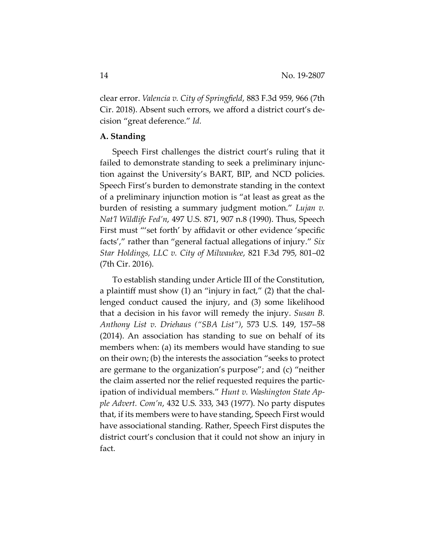clear error. *Valencia v. City of Springfield*, 883 F.3d 959, 966 (7th Cir. 2018). Absent such errors, we afford a district court's decision "great deference." *Id.*

## **A. Standing**

Speech First challenges the district court's ruling that it failed to demonstrate standing to seek a preliminary injunction against the University's BART, BIP, and NCD policies. Speech First's burden to demonstrate standing in the context of a preliminary injunction motion is "at least as great as the burden of resisting a summary judgment motion." *Lujan v. Nat'l Wildlife Fed'n*, 497 U.S. 871, 907 n.8 (1990). Thus, Speech First must "'set forth' by affidavit or other evidence 'specific facts'," rather than "general factual allegations of injury." *Six Star Holdings, LLC v. City of Milwaukee*, 821 F.3d 795, 801–02 (7th Cir. 2016).

To establish standing under Article III of the Constitution, a plaintiff must show (1) an "injury in fact," (2) that the challenged conduct caused the injury, and (3) some likelihood that a decision in his favor will remedy the injury. *Susan B. Anthony List v. Driehaus ("SBA List")*, 573 U.S. 149, 157–58 (2014). An association has standing to sue on behalf of its members when: (a) its members would have standing to sue on their own; (b) the interests the association "seeks to protect are germane to the organization's purpose"; and (c) "neither the claim asserted nor the relief requested requires the participation of individual members." *Hunt v. Washington State Apple Advert. Com'n*, 432 U.S. 333, 343 (1977). No party disputes that, if its members were to have standing, Speech First would have associational standing. Rather, Speech First disputes the district court's conclusion that it could not show an injury in fact.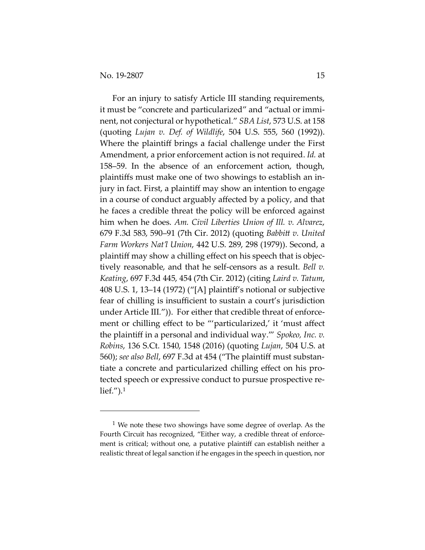For an injury to satisfy Article III standing requirements, it must be "concrete and particularized" and "actual or imminent, not conjectural or hypothetical." *SBA List*, 573 U.S. at 158 (quoting *Lujan v. Def. of Wildlife*, 504 U.S. 555, 560 (1992)). Where the plaintiff brings a facial challenge under the First Amendment, a prior enforcement action is not required. *Id.* at 158–59. In the absence of an enforcement action, though, plaintiffs must make one of two showings to establish an injury in fact. First, a plaintiff may show an intention to engage in a course of conduct arguably affected by a policy, and that he faces a credible threat the policy will be enforced against him when he does. *Am. Civil Liberties Union of Ill. v. Alvarez*, 679 F.3d 583, 590–91 (7th Cir. 2012) (quoting *Babbitt v. United Farm Workers Nat'l Union*, 442 U.S. 289, 298 (1979)). Second, a plaintiff may show a chilling effect on his speech that is objectively reasonable, and that he self-censors as a result. *Bell v. Keating*, 697 F.3d 445, 454 (7th Cir. 2012) (citing *Laird v. Tatum*, 408 U.S. 1, 13–14 (1972) ("[A] plaintiff's notional or subjective fear of chilling is insufficient to sustain a court's jurisdiction under Article III*.*")). For either that credible threat of enforcement or chilling effect to be "'particularized,' it 'must affect the plaintiff in a personal and individual way.'" *Spokeo, Inc. v. Robins*, 136 S.Ct. 1540, 1548 (2016) (quoting *Lujan*, 504 U.S. at 560); *see also Bell*, 697 F.3d at 454 ("The plaintiff must substantiate a concrete and particularized chilling effect on his protected speech or expressive conduct to pursue prospective relief. $'$ ).<sup>[1](#page-14-0)</sup>

<span id="page-14-0"></span> $1$  We note these two showings have some degree of overlap. As the Fourth Circuit has recognized, "Either way, a credible threat of enforcement is critical; without one, a putative plaintiff can establish neither a realistic threat of legal sanction if he engages in the speech in question, nor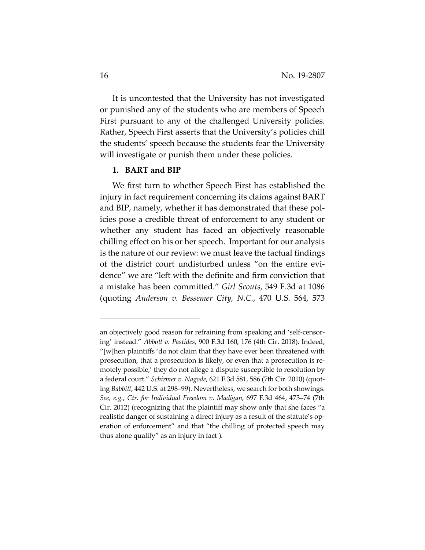It is uncontested that the University has not investigated or punished any of the students who are members of Speech First pursuant to any of the challenged University policies. Rather, Speech First asserts that the University's policies chill the students' speech because the students fear the University will investigate or punish them under these policies.

#### **1. BART and BIP**

We first turn to whether Speech First has established the injury in fact requirement concerning its claims against BART and BIP, namely, whether it has demonstrated that these policies pose a credible threat of enforcement to any student or whether any student has faced an objectively reasonable chilling effect on his or her speech. Important for our analysis is the nature of our review: we must leave the factual findings of the district court undisturbed unless "on the entire evidence" we are "left with the definite and firm conviction that a mistake has been committed." *Girl Scouts*, 549 F.3d at 1086 (quoting *Anderson v. Bessemer City, N.C.*, 470 U.S. 564, 573

an objectively good reason for refraining from speaking and 'self-censoring' instead." *Abbott v. Pastides*, 900 F.3d 160, 176 (4th Cir. 2018). Indeed, "[w]hen plaintiffs 'do not claim that they have ever been threatened with prosecution, that a prosecution is likely, or even that a prosecution is remotely possible,' they do not allege a dispute susceptible to resolution by a federal court." *Schirmer v. Nagode*, 621 F.3d 581, 586 (7th Cir. 2010) (quoting *Babbitt*, 442 U.S. at 298–99). Nevertheless, we search for both showings. *See, e.g.*, *Ctr. for Individual Freedom v. Madigan*, 697 F.3d 464, 473–74 (7th Cir. 2012) (recognizing that the plaintiff may show only that she faces "a realistic danger of sustaining a direct injury as a result of the statute's operation of enforcement" and that "the chilling of protected speech may thus alone qualify" as an injury in fact ).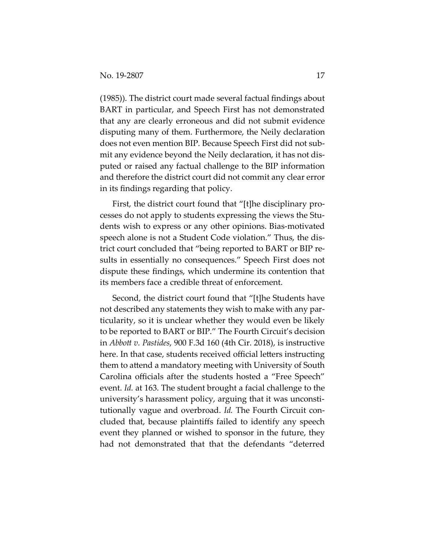(1985)). The district court made several factual findings about BART in particular, and Speech First has not demonstrated that any are clearly erroneous and did not submit evidence disputing many of them. Furthermore, the Neily declaration does not even mention BIP. Because Speech First did not submit any evidence beyond the Neily declaration, it has not disputed or raised any factual challenge to the BIP information and therefore the district court did not commit any clear error in its findings regarding that policy.

First, the district court found that "[t]he disciplinary processes do not apply to students expressing the views the Students wish to express or any other opinions. Bias-motivated speech alone is not a Student Code violation." Thus, the district court concluded that "being reported to BART or BIP results in essentially no consequences." Speech First does not dispute these findings, which undermine its contention that its members face a credible threat of enforcement.

Second, the district court found that "[t]he Students have not described any statements they wish to make with any particularity, so it is unclear whether they would even be likely to be reported to BART or BIP." The Fourth Circuit's decision in *Abbott v. Pastides*, 900 F.3d 160 (4th Cir. 2018), is instructive here. In that case, students received official letters instructing them to attend a mandatory meeting with University of South Carolina officials after the students hosted a "Free Speech" event. *Id.* at 163. The student brought a facial challenge to the university's harassment policy, arguing that it was unconstitutionally vague and overbroad. *Id.* The Fourth Circuit concluded that, because plaintiffs failed to identify any speech event they planned or wished to sponsor in the future, they had not demonstrated that that the defendants "deterred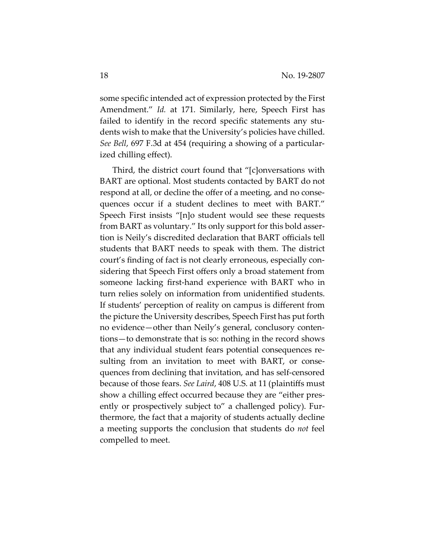some specific intended act of expression protected by the First Amendment." *Id.* at 171. Similarly, here, Speech First has failed to identify in the record specific statements any students wish to make that the University's policies have chilled. *See Bell*, 697 F.3d at 454 (requiring a showing of a particularized chilling effect).

Third, the district court found that "[c]onversations with BART are optional. Most students contacted by BART do not respond at all, or decline the offer of a meeting, and no consequences occur if a student declines to meet with BART." Speech First insists "[n]o student would see these requests from BART as voluntary." Its only support for this bold assertion is Neily's discredited declaration that BART officials tell students that BART needs to speak with them. The district court's finding of fact is not clearly erroneous, especially considering that Speech First offers only a broad statement from someone lacking first-hand experience with BART who in turn relies solely on information from unidentified students. If students' perception of reality on campus is different from the picture the University describes, Speech First has put forth no evidence—other than Neily's general, conclusory contentions—to demonstrate that is so: nothing in the record shows that any individual student fears potential consequences resulting from an invitation to meet with BART, or consequences from declining that invitation, and has self-censored because of those fears. *See Laird*, 408 U.S. at 11 (plaintiffs must show a chilling effect occurred because they are "either presently or prospectively subject to" a challenged policy). Furthermore, the fact that a majority of students actually decline a meeting supports the conclusion that students do *not* feel compelled to meet.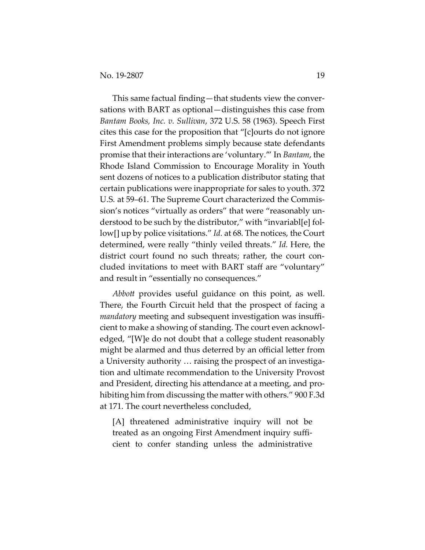This same factual finding—that students view the conversations with BART as optional—distinguishes this case from *Bantam Books, Inc. v. Sullivan*, 372 U.S. 58 (1963). Speech First cites this case for the proposition that "[c]ourts do not ignore First Amendment problems simply because state defendants promise that their interactions are 'voluntary.'" In *Bantam*, the Rhode Island Commission to Encourage Morality in Youth sent dozens of notices to a publication distributor stating that certain publications were inappropriate for sales to youth. 372 U.S. at 59–61. The Supreme Court characterized the Commission's notices "virtually as orders" that were "reasonably understood to be such by the distributor," with "invariabl[e] follow[] up by police visitations." *Id.* at 68. The notices, the Court determined, were really "thinly veiled threats." *Id.* Here, the district court found no such threats; rather, the court concluded invitations to meet with BART staff are "voluntary" and result in "essentially no consequences."

*Abbott* provides useful guidance on this point, as well. There, the Fourth Circuit held that the prospect of facing a *mandatory* meeting and subsequent investigation was insufficient to make a showing of standing. The court even acknowledged, "[W]e do not doubt that a college student reasonably might be alarmed and thus deterred by an official letter from a University authority … raising the prospect of an investigation and ultimate recommendation to the University Provost and President, directing his attendance at a meeting, and prohibiting him from discussing the matter with others." 900 F.3d at 171. The court nevertheless concluded,

[A] threatened administrative inquiry will not be treated as an ongoing First Amendment inquiry sufficient to confer standing unless the administrative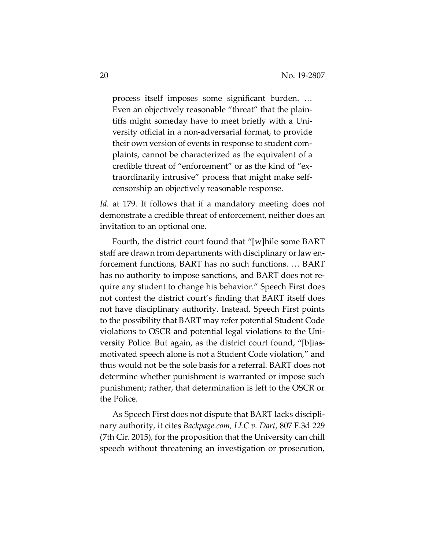process itself imposes some significant burden. … Even an objectively reasonable "threat" that the plaintiffs might someday have to meet briefly with a University official in a non-adversarial format, to provide their own version of events in response to student complaints, cannot be characterized as the equivalent of a credible threat of "enforcement" or as the kind of "extraordinarily intrusive" process that might make selfcensorship an objectively reasonable response.

Id. at 179. It follows that if a mandatory meeting does not demonstrate a credible threat of enforcement, neither does an invitation to an optional one.

Fourth, the district court found that "[w]hile some BART staff are drawn from departments with disciplinary or law enforcement functions, BART has no such functions. … BART has no authority to impose sanctions, and BART does not require any student to change his behavior." Speech First does not contest the district court's finding that BART itself does not have disciplinary authority. Instead, Speech First points to the possibility that BART may refer potential Student Code violations to OSCR and potential legal violations to the University Police. But again, as the district court found, "[b]iasmotivated speech alone is not a Student Code violation," and thus would not be the sole basis for a referral. BART does not determine whether punishment is warranted or impose such punishment; rather, that determination is left to the OSCR or the Police.

As Speech First does not dispute that BART lacks disciplinary authority, it cites *Backpage.com, LLC v. Dart*, 807 F.3d 229 (7th Cir. 2015), for the proposition that the University can chill speech without threatening an investigation or prosecution,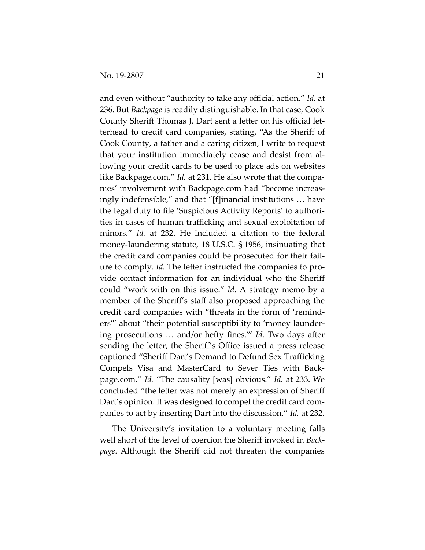and even without "authority to take any official action." *Id.* at 236. But *Backpage* is readily distinguishable. In that case, Cook County Sheriff Thomas J. Dart sent a letter on his official letterhead to credit card companies, stating, "As the Sheriff of Cook County, a father and a caring citizen, I write to request that your institution immediately cease and desist from allowing your credit cards to be used to place ads on websites like Backpage.com." *Id.* at 231. He also wrote that the companies' involvement with Backpage.com had "become increasingly indefensible," and that "[f]inancial institutions … have the legal duty to file 'Suspicious Activity Reports' to authorities in cases of human trafficking and sexual exploitation of minors." *Id.* at 232. He included a citation to the federal money-laundering statute, 18 U.S.C. § 1956, insinuating that the credit card companies could be prosecuted for their failure to comply. *Id.* The letter instructed the companies to provide contact information for an individual who the Sheriff could "work with on this issue." *Id.* A strategy memo by a member of the Sheriff's staff also proposed approaching the credit card companies with "threats in the form of 'reminders'" about "their potential susceptibility to 'money laundering prosecutions … and/or hefty fines.'" *Id.* Two days after sending the letter, the Sheriff's Office issued a press release captioned "Sheriff Dart's Demand to Defund Sex Trafficking Compels Visa and MasterCard to Sever Ties with Backpage.com." *Id.* "The causality [was] obvious." *Id.* at 233. We concluded "the letter was not merely an expression of Sheriff Dart's opinion. It was designed to compel the credit card companies to act by inserting Dart into the discussion." *Id.* at 232.

The University's invitation to a voluntary meeting falls well short of the level of coercion the Sheriff invoked in *Backpage*. Although the Sheriff did not threaten the companies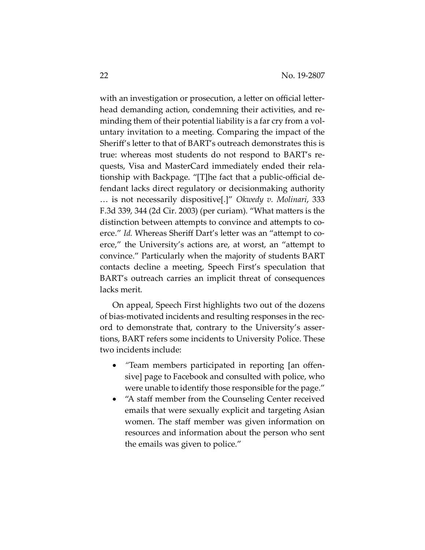with an investigation or prosecution, a letter on official letterhead demanding action, condemning their activities, and reminding them of their potential liability is a far cry from a voluntary invitation to a meeting. Comparing the impact of the Sheriff's letter to that of BART's outreach demonstrates this is true: whereas most students do not respond to BART's requests, Visa and MasterCard immediately ended their relationship with Backpage. "[T]he fact that a public-official defendant lacks direct regulatory or decisionmaking authority … is not necessarily dispositive[.]" *Okwedy v. Molinari*, 333 F.3d 339, 344 (2d Cir. 2003) (per curiam). "What matters is the distinction between attempts to convince and attempts to coerce." *Id.* Whereas Sheriff Dart's letter was an "attempt to coerce," the University's actions are, at worst, an "attempt to convince." Particularly when the majority of students BART contacts decline a meeting, Speech First's speculation that BART's outreach carries an implicit threat of consequences lacks merit.

On appeal, Speech First highlights two out of the dozens of bias-motivated incidents and resulting responses in the record to demonstrate that, contrary to the University's assertions, BART refers some incidents to University Police. These two incidents include:

- *"*Team members participated in reporting [an offensive] page to Facebook and consulted with police, who were unable to identify those responsible for the page."
- "A staff member from the Counseling Center received emails that were sexually explicit and targeting Asian women. The staff member was given information on resources and information about the person who sent the emails was given to police."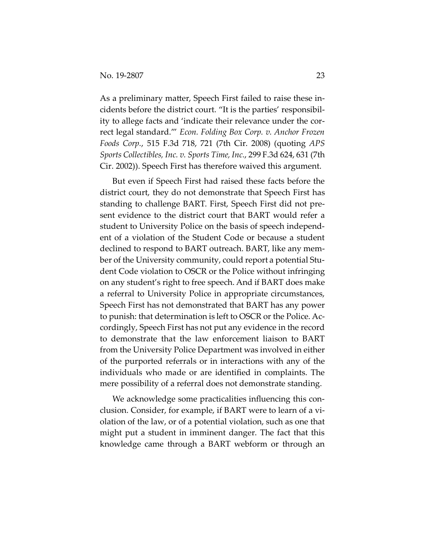As a preliminary matter, Speech First failed to raise these incidents before the district court. "It is the parties' responsibility to allege facts and 'indicate their relevance under the correct legal standard.'" *Econ. Folding Box Corp. v. Anchor Frozen Foods Corp.*, 515 F.3d 718, 721 (7th Cir. 2008) (quoting *APS Sports Collectibles, Inc. v. Sports Time, Inc.*, 299 F.3d 624, 631 (7th Cir. 2002)). Speech First has therefore waived this argument.

But even if Speech First had raised these facts before the district court, they do not demonstrate that Speech First has standing to challenge BART. First, Speech First did not present evidence to the district court that BART would refer a student to University Police on the basis of speech independent of a violation of the Student Code or because a student declined to respond to BART outreach. BART, like any member of the University community, could report a potential Student Code violation to OSCR or the Police without infringing on any student's right to free speech. And if BART does make a referral to University Police in appropriate circumstances, Speech First has not demonstrated that BART has any power to punish: that determination is left to OSCR or the Police. Accordingly, Speech First has not put any evidence in the record to demonstrate that the law enforcement liaison to BART from the University Police Department was involved in either of the purported referrals or in interactions with any of the individuals who made or are identified in complaints. The mere possibility of a referral does not demonstrate standing.

We acknowledge some practicalities influencing this conclusion. Consider, for example, if BART were to learn of a violation of the law, or of a potential violation, such as one that might put a student in imminent danger. The fact that this knowledge came through a BART webform or through an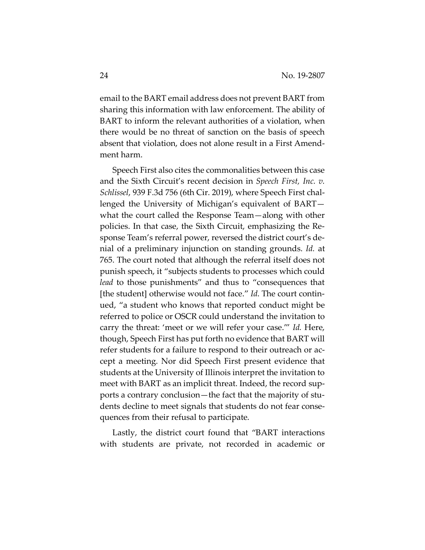email to the BART email address does not prevent BART from sharing this information with law enforcement. The ability of BART to inform the relevant authorities of a violation, when there would be no threat of sanction on the basis of speech absent that violation, does not alone result in a First Amendment harm.

Speech First also cites the commonalities between this case and the Sixth Circuit's recent decision in *Speech First, Inc. v. Schlissel*, 939 F.3d 756 (6th Cir. 2019), where Speech First challenged the University of Michigan's equivalent of BART what the court called the Response Team—along with other policies. In that case, the Sixth Circuit, emphasizing the Response Team's referral power, reversed the district court's denial of a preliminary injunction on standing grounds. *Id.* at 765. The court noted that although the referral itself does not punish speech, it "subjects students to processes which could *lead* to those punishments" and thus to "consequences that [the student] otherwise would not face." *Id*. The court continued, "a student who knows that reported conduct might be referred to police or OSCR could understand the invitation to carry the threat: 'meet or we will refer your case.'" *Id.* Here, though, Speech First has put forth no evidence that BART will refer students for a failure to respond to their outreach or accept a meeting. Nor did Speech First present evidence that students at the University of Illinois interpret the invitation to meet with BART as an implicit threat. Indeed, the record supports a contrary conclusion—the fact that the majority of students decline to meet signals that students do not fear consequences from their refusal to participate.

Lastly, the district court found that "BART interactions with students are private, not recorded in academic or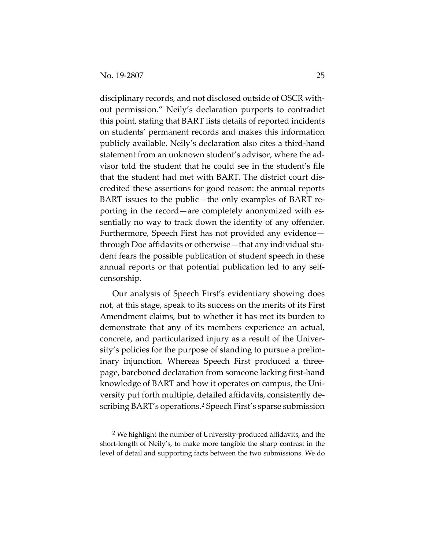disciplinary records, and not disclosed outside of OSCR without permission." Neily's declaration purports to contradict this point, stating that BART lists details of reported incidents on students' permanent records and makes this information publicly available. Neily's declaration also cites a third-hand statement from an unknown student's advisor, where the advisor told the student that he could see in the student's file that the student had met with BART. The district court discredited these assertions for good reason: the annual reports BART issues to the public—the only examples of BART reporting in the record—are completely anonymized with essentially no way to track down the identity of any offender. Furthermore, Speech First has not provided any evidence through Doe affidavits or otherwise—that any individual student fears the possible publication of student speech in these annual reports or that potential publication led to any selfcensorship.

Our analysis of Speech First's evidentiary showing does not, at this stage, speak to its success on the merits of its First Amendment claims, but to whether it has met its burden to demonstrate that any of its members experience an actual, concrete, and particularized injury as a result of the University's policies for the purpose of standing to pursue a preliminary injunction. Whereas Speech First produced a threepage, bareboned declaration from someone lacking first-hand knowledge of BART and how it operates on campus, the University put forth multiple, detailed affidavits, consistently describing BART's operations.[2](#page-24-0) Speech First's sparse submission

<span id="page-24-0"></span><sup>&</sup>lt;sup>2</sup> We highlight the number of University-produced affidavits, and the short-length of Neily's, to make more tangible the sharp contrast in the level of detail and supporting facts between the two submissions. We do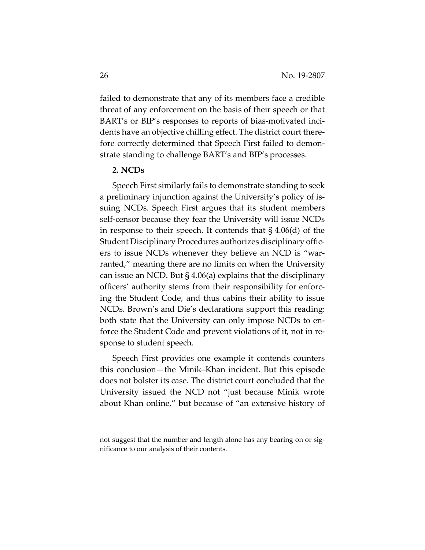failed to demonstrate that any of its members face a credible threat of any enforcement on the basis of their speech or that BART's or BIP's responses to reports of bias-motivated incidents have an objective chilling effect. The district court therefore correctly determined that Speech First failed to demonstrate standing to challenge BART's and BIP's processes.

## **2. NCDs**

Speech First similarly fails to demonstrate standing to seek a preliminary injunction against the University's policy of issuing NCDs. Speech First argues that its student members self-censor because they fear the University will issue NCDs in response to their speech. It contends that § 4.06(d) of the Student Disciplinary Procedures authorizes disciplinary officers to issue NCDs whenever they believe an NCD is "warranted," meaning there are no limits on when the University can issue an NCD. But § 4.06(a) explains that the disciplinary officers' authority stems from their responsibility for enforcing the Student Code, and thus cabins their ability to issue NCDs. Brown's and Die's declarations support this reading: both state that the University can only impose NCDs to enforce the Student Code and prevent violations of it, not in response to student speech.

Speech First provides one example it contends counters this conclusion—the Minik–Khan incident. But this episode does not bolster its case. The district court concluded that the University issued the NCD not "just because Minik wrote about Khan online," but because of "an extensive history of

not suggest that the number and length alone has any bearing on or significance to our analysis of their contents.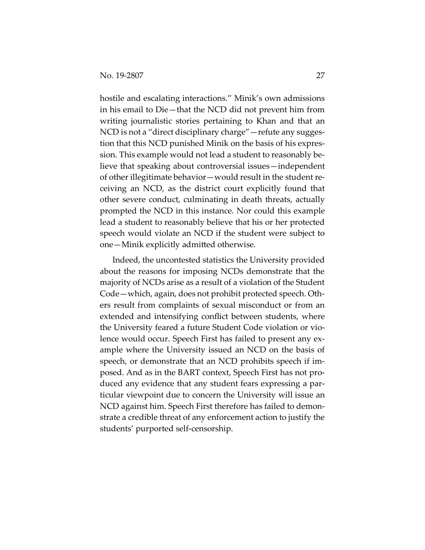hostile and escalating interactions." Minik's own admissions in his email to Die—that the NCD did not prevent him from writing journalistic stories pertaining to Khan and that an NCD is not a "direct disciplinary charge"—refute any suggestion that this NCD punished Minik on the basis of his expression. This example would not lead a student to reasonably believe that speaking about controversial issues—independent of other illegitimate behavior—would result in the student receiving an NCD, as the district court explicitly found that other severe conduct, culminating in death threats, actually prompted the NCD in this instance. Nor could this example lead a student to reasonably believe that his or her protected speech would violate an NCD if the student were subject to one—Minik explicitly admitted otherwise.

Indeed, the uncontested statistics the University provided about the reasons for imposing NCDs demonstrate that the majority of NCDs arise as a result of a violation of the Student Code—which, again, does not prohibit protected speech. Others result from complaints of sexual misconduct or from an extended and intensifying conflict between students, where the University feared a future Student Code violation or violence would occur. Speech First has failed to present any example where the University issued an NCD on the basis of speech, or demonstrate that an NCD prohibits speech if imposed. And as in the BART context, Speech First has not produced any evidence that any student fears expressing a particular viewpoint due to concern the University will issue an NCD against him. Speech First therefore has failed to demonstrate a credible threat of any enforcement action to justify the students' purported self-censorship.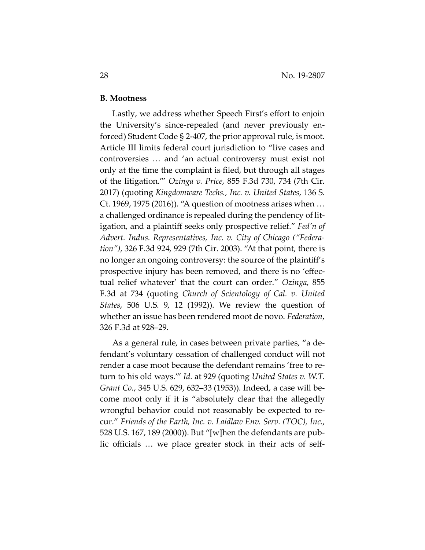#### **B. Mootness**

Lastly, we address whether Speech First's effort to enjoin the University's since-repealed (and never previously enforced) Student Code § 2-407, the prior approval rule, is moot. Article III limits federal court jurisdiction to "live cases and controversies … and 'an actual controversy must exist not only at the time the complaint is filed, but through all stages of the litigation.'" *Ozinga v. Price*, 855 F.3d 730, 734 (7th Cir. 2017) (quoting *Kingdomware Techs., Inc. v. United States*, 136 S. Ct. 1969, 1975 (2016)). "A question of mootness arises when … a challenged ordinance is repealed during the pendency of litigation, and a plaintiff seeks only prospective relief." *Fed'n of Advert. Indus. Representatives, Inc. v. City of Chicago ("Federation")*, 326 F.3d 924, 929 (7th Cir. 2003). "At that point, there is no longer an ongoing controversy: the source of the plaintiff's prospective injury has been removed, and there is no 'effectual relief whatever' that the court can order." *Ozinga*, 855 F.3d at 734 (quoting *Church of Scientology of Cal. v. United States*, 506 U.S. 9, 12 (1992)). We review the question of whether an issue has been rendered moot de novo. *Federation*, 326 F.3d at 928–29.

As a general rule, in cases between private parties, "a defendant's voluntary cessation of challenged conduct will not render a case moot because the defendant remains 'free to return to his old ways.'" *Id.* at 929 (quoting *United States v. W.T. Grant Co.*, 345 U.S. 629, 632–33 (1953)). Indeed, a case will become moot only if it is "absolutely clear that the allegedly wrongful behavior could not reasonably be expected to recur." *Friends of the Earth, Inc. v. Laidlaw Env. Serv. (TOC), Inc.*, 528 U.S. 167, 189 (2000)). But "[w]hen the defendants are public officials … we place greater stock in their acts of self-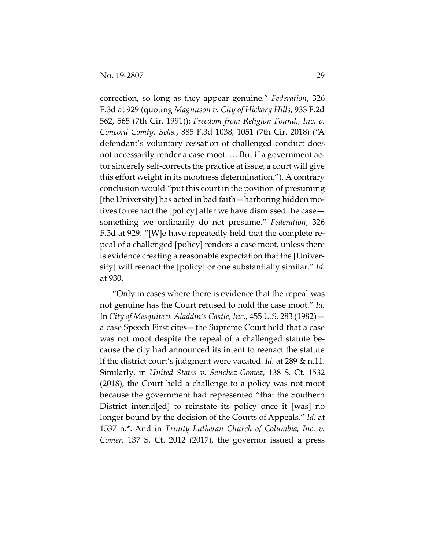correction, so long as they appear genuine." *Federation*, 326 F.3d at 929 (quoting *Magnuson v. City of Hickory Hills*, 933 F.2d 562, 565 (7th Cir. 1991)); *Freedom from Religion Found., Inc. v. Concord Comty. Schs.*, 885 F.3d 1038, 1051 (7th Cir. 2018) ("A defendant's voluntary cessation of challenged conduct does not necessarily render a case moot. … But if a government actor sincerely self-corrects the practice at issue, a court will give this effort weight in its mootness determination."). A contrary conclusion would "put this court in the position of presuming [the University] has acted in bad faith—harboring hidden motives to reenact the [policy] after we have dismissed the case something we ordinarily do not presume." *Federation*, 326 F.3d at 929. "[W]e have repeatedly held that the complete repeal of a challenged [policy] renders a case moot, unless there is evidence creating a reasonable expectation that the [University] will reenact the [policy] or one substantially similar." *Id.* at 930.

"Only in cases where there is evidence that the repeal was not genuine has the Court refused to hold the case moot." *Id.*  In *City of Mesquite v. Aladdin's Castle, Inc.*, 455 U.S. 283 (1982) a case Speech First cites—the Supreme Court held that a case was not moot despite the repeal of a challenged statute because the city had announced its intent to reenact the statute if the district court's judgment were vacated. *Id.* at 289 & n.11. Similarly, in *United States v. Sanchez-Gomez*, 138 S. Ct. 1532 (2018), the Court held a challenge to a policy was not moot because the government had represented "that the Southern District intend[ed] to reinstate its policy once it [was] no longer bound by the decision of the Courts of Appeals." *Id.* at 1537 n.\*. And in *Trinity Lutheran Church of Columbia, Inc. v. Comer*, 137 S. Ct. 2012 (2017), the governor issued a press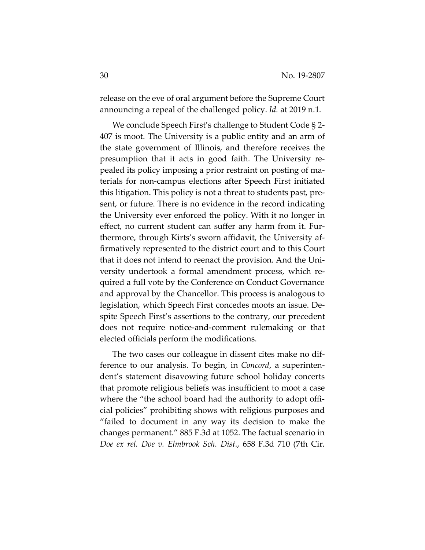release on the eve of oral argument before the Supreme Court announcing a repeal of the challenged policy. *Id.* at 2019 n.1.

We conclude Speech First's challenge to Student Code § 2- 407 is moot. The University is a public entity and an arm of the state government of Illinois, and therefore receives the presumption that it acts in good faith. The University repealed its policy imposing a prior restraint on posting of materials for non-campus elections after Speech First initiated this litigation. This policy is not a threat to students past, present, or future. There is no evidence in the record indicating the University ever enforced the policy. With it no longer in effect, no current student can suffer any harm from it. Furthermore, through Kirts's sworn affidavit, the University affirmatively represented to the district court and to this Court that it does not intend to reenact the provision. And the University undertook a formal amendment process, which required a full vote by the Conference on Conduct Governance and approval by the Chancellor. This process is analogous to legislation, which Speech First concedes moots an issue. Despite Speech First's assertions to the contrary, our precedent does not require notice-and-comment rulemaking or that elected officials perform the modifications.

The two cases our colleague in dissent cites make no difference to our analysis. To begin, in *Concord*, a superintendent's statement disavowing future school holiday concerts that promote religious beliefs was insufficient to moot a case where the "the school board had the authority to adopt official policies" prohibiting shows with religious purposes and "failed to document in any way its decision to make the changes permanent." 885 F.3d at 1052. The factual scenario in *Doe ex rel. Doe v. Elmbrook Sch. Dist.*, 658 F.3d 710 (7th Cir.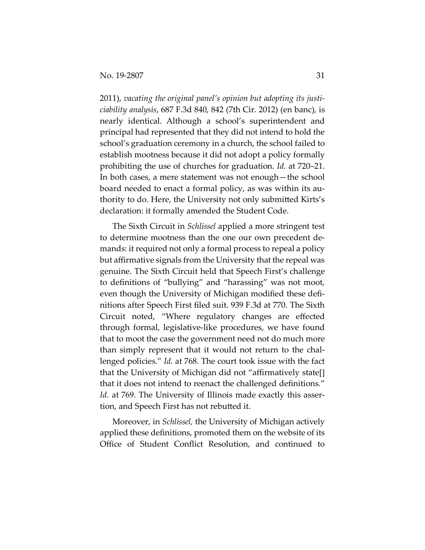2011), *vacating the original panel's opinion but adopting its justiciability analysis*, 687 F.3d 840, 842 (7th Cir. 2012) (en banc), is nearly identical. Although a school's superintendent and principal had represented that they did not intend to hold the school's graduation ceremony in a church, the school failed to establish mootness because it did not adopt a policy formally prohibiting the use of churches for graduation. *Id.* at 720–21. In both cases, a mere statement was not enough—the school board needed to enact a formal policy, as was within its authority to do. Here, the University not only submitted Kirts's declaration: it formally amended the Student Code.

The Sixth Circuit in *Schlissel* applied a more stringent test to determine mootness than the one our own precedent demands: it required not only a formal process to repeal a policy but affirmative signals from the University that the repeal was genuine. The Sixth Circuit held that Speech First's challenge to definitions of "bullying" and "harassing" was not moot, even though the University of Michigan modified these definitions after Speech First filed suit. 939 F.3d at 770. The Sixth Circuit noted, "Where regulatory changes are effected through formal, legislative-like procedures, we have found that to moot the case the government need not do much more than simply represent that it would not return to the challenged policies." *Id*. at 768. The court took issue with the fact that the University of Michigan did not "affirmatively state[] that it does not intend to reenact the challenged definitions." *Id.* at 769. The University of Illinois made exactly this assertion, and Speech First has not rebutted it.

Moreover, in *Schlissel,* the University of Michigan actively applied these definitions, promoted them on the website of its Office of Student Conflict Resolution, and continued to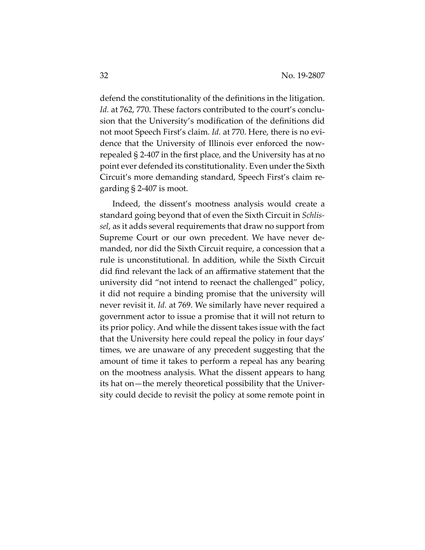defend the constitutionality of the definitions in the litigation. *Id.* at 762, 770. These factors contributed to the court's conclusion that the University's modification of the definitions did not moot Speech First's claim. *Id.* at 770. Here, there is no evidence that the University of Illinois ever enforced the nowrepealed § 2-407 in the first place, and the University has at no point ever defended its constitutionality. Even under the Sixth Circuit's more demanding standard, Speech First's claim regarding § 2-407 is moot.

Indeed, the dissent's mootness analysis would create a standard going beyond that of even the Sixth Circuit in *Schlissel*, as it adds several requirements that draw no support from Supreme Court or our own precedent. We have never demanded, nor did the Sixth Circuit require, a concession that a rule is unconstitutional. In addition, while the Sixth Circuit did find relevant the lack of an affirmative statement that the university did "not intend to reenact the challenged" policy, it did not require a binding promise that the university will never revisit it. *Id.* at 769. We similarly have never required a government actor to issue a promise that it will not return to its prior policy. And while the dissent takes issue with the fact that the University here could repeal the policy in four days' times, we are unaware of any precedent suggesting that the amount of time it takes to perform a repeal has any bearing on the mootness analysis. What the dissent appears to hang its hat on—the merely theoretical possibility that the University could decide to revisit the policy at some remote point in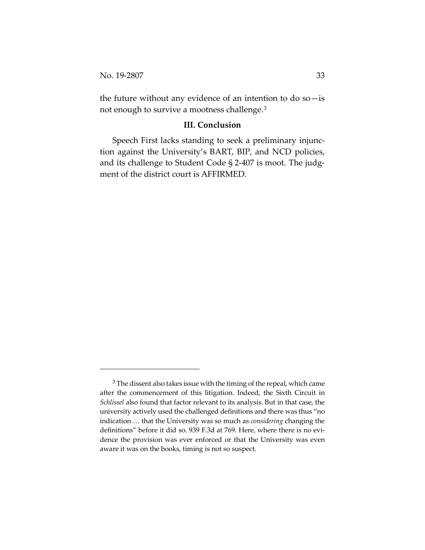the future without any evidence of an intention to do  $so-$  is not enough to survive a mootness challenge.[3](#page-32-0)

#### **III. Conclusion**

Speech First lacks standing to seek a preliminary injunction against the University's BART, BIP, and NCD policies, and its challenge to Student Code § 2-407 is moot. The judgment of the district court is AFFIRMED.

<span id="page-32-0"></span> $3$  The dissent also takes issue with the timing of the repeal, which came after the commencement of this litigation. Indeed, the Sixth Circuit in *Schlissel* also found that factor relevant to its analysis. But in that case, the university actively used the challenged definitions and there was thus "no indication … that the University was so much as *considering* changing the definitions" before it did so. 939 F.3d at 769. Here, where there is no evidence the provision was ever enforced or that the University was even aware it was on the books, timing is not so suspect.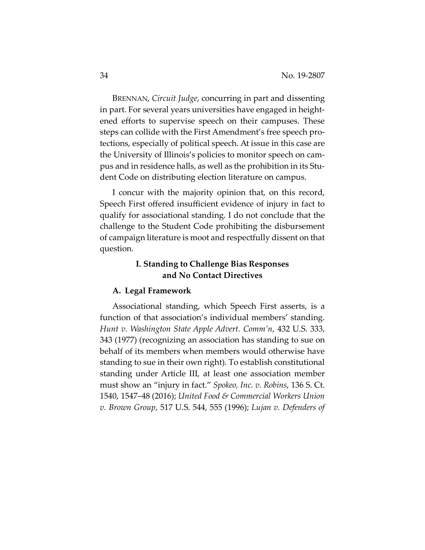BRENNAN, *Circuit Judge*, concurring in part and dissenting in part. For several years universities have engaged in heightened efforts to supervise speech on their campuses. These steps can collide with the First Amendment's free speech protections, especially of political speech. At issue in this case are the University of Illinois's policies to monitor speech on campus and in residence halls, as well as the prohibition in its Student Code on distributing election literature on campus.

I concur with the majority opinion that, on this record, Speech First offered insufficient evidence of injury in fact to qualify for associational standing. I do not conclude that the challenge to the Student Code prohibiting the disbursement of campaign literature is moot and respectfully dissent on that question.

# **I. Standing to Challenge Bias Responses and No Contact Directives**

#### **A. Legal Framework**

Associational standing, which Speech First asserts, is a function of that association's individual members' standing. *Hunt v. Washington State Apple Advert. Comm'n*, 432 U.S. 333, 343 (1977) (recognizing an association has standing to sue on behalf of its members when members would otherwise have standing to sue in their own right). To establish constitutional standing under Article III, at least one association member must show an "injury in fact." *Spokeo, Inc. v. Robins*, 136 S. Ct. 1540, 1547–48 (2016); *United Food & Commercial Workers Union v. Brown Group*, 517 U.S. 544, 555 (1996); *Lujan v. Defenders of*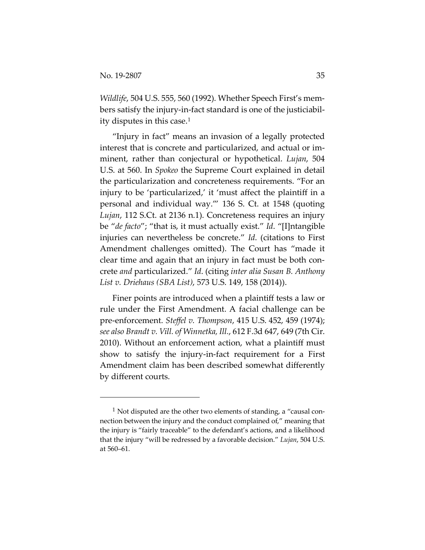*Wildlife*, 504 U.S. 555, 560 (1992). Whether Speech First's members satisfy the injury-in-fact standard is one of the justiciability disputes in this case.[1](#page-34-0)

"Injury in fact" means an invasion of a legally protected interest that is concrete and particularized, and actual or imminent, rather than conjectural or hypothetical. *Lujan*, 504 U.S. at 560. In *Spokeo* the Supreme Court explained in detail the particularization and concreteness requirements. "For an injury to be 'particularized,' it 'must affect the plaintiff in a personal and individual way.'" 136 S. Ct. at 1548 (quoting *Lujan*, 112 S.Ct. at 2136 n.1). Concreteness requires an injury be "*de facto*"; "that is, it must actually exist." *Id*. "[I]ntangible injuries can nevertheless be concrete." *Id*. (citations to First Amendment challenges omitted). The Court has "made it clear time and again that an injury in fact must be both concrete *and* particularized." *Id*. (citing *inter alia Susan B. Anthony List v. Driehaus (SBA List)*, 573 U.S. 149, 158 (2014)).

Finer points are introduced when a plaintiff tests a law or rule under the First Amendment. A facial challenge can be pre-enforcement. *Steffel v. Thompson*, 415 U.S. 452, 459 (1974); *see also Brandt v. Vill. of Winnetka, Ill.*, 612 F.3d 647, 649 (7th Cir. 2010). Without an enforcement action, what a plaintiff must show to satisfy the injury-in-fact requirement for a First Amendment claim has been described somewhat differently by different courts.

<span id="page-34-0"></span> $1$  Not disputed are the other two elements of standing, a "causal connection between the injury and the conduct complained of," meaning that the injury is "fairly traceable" to the defendant's actions, and a likelihood that the injury "will be redressed by a favorable decision." *Lujan*, 504 U.S. at 560–61.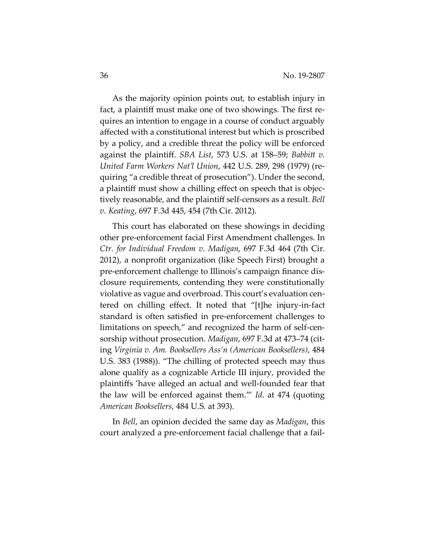As the majority opinion points out, to establish injury in fact, a plaintiff must make one of two showings. The first requires an intention to engage in a course of conduct arguably affected with a constitutional interest but which is proscribed by a policy, and a credible threat the policy will be enforced against the plaintiff. *SBA List*, 573 U.S. at 158–59; *Babbitt v. United Farm Workers Nat'l Union*, 442 U.S. 289, 298 (1979) (requiring "a credible threat of prosecution"). Under the second, a plaintiff must show a chilling effect on speech that is objectively reasonable, and the plaintiff self-censors as a result. *Bell v. Keating*, 697 F.3d 445, 454 (7th Cir. 2012).

This court has elaborated on these showings in deciding other pre-enforcement facial First Amendment challenges. In *Ctr. for Individual Freedom v. Madigan*, 697 F.3d 464 (7th Cir. 2012), a nonprofit organization (like Speech First) brought a pre-enforcement challenge to Illinois's campaign finance disclosure requirements, contending they were constitutionally violative as vague and overbroad. This court's evaluation centered on chilling effect. It noted that "[t]he injury-in-fact standard is often satisfied in pre-enforcement challenges to limitations on speech," and recognized the harm of self-censorship without prosecution. *Madigan*, 697 F.3d at 473–74 (citing *Virginia v. Am. Booksellers Ass'n (American Booksellers)*, 484 U.S. 383 (1988)). "The chilling of protected speech may thus alone qualify as a cognizable Article III injury, provided the plaintiffs 'have alleged an actual and well-founded fear that the law will be enforced against them.'" *Id*. at 474 (quoting *American Booksellers*, 484 U.S. at 393).

In *Bell*, an opinion decided the same day as *Madigan*, this court analyzed a pre-enforcement facial challenge that a fail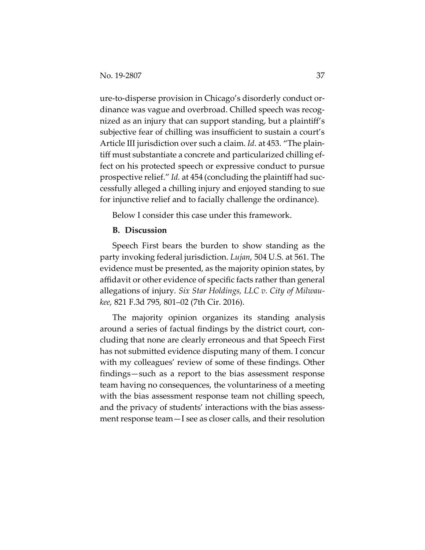ure-to-disperse provision in Chicago's disorderly conduct ordinance was vague and overbroad. Chilled speech was recognized as an injury that can support standing, but a plaintiff's subjective fear of chilling was insufficient to sustain a court's Article III jurisdiction over such a claim. *Id*. at 453. "The plaintiff must substantiate a concrete and particularized chilling effect on his protected speech or expressive conduct to pursue prospective relief." *Id.* at 454 (concluding the plaintiff had successfully alleged a chilling injury and enjoyed standing to sue for injunctive relief and to facially challenge the ordinance).

Below I consider this case under this framework.

#### **B. Discussion**

Speech First bears the burden to show standing as the party invoking federal jurisdiction. *Lujan*, 504 U.S. at 561. The evidence must be presented, as the majority opinion states, by affidavit or other evidence of specific facts rather than general allegations of injury. *Six Star Holdings, LLC v. City of Milwaukee*, 821 F.3d 795, 801–02 (7th Cir. 2016).

The majority opinion organizes its standing analysis around a series of factual findings by the district court, concluding that none are clearly erroneous and that Speech First has not submitted evidence disputing many of them. I concur with my colleagues' review of some of these findings. Other findings—such as a report to the bias assessment response team having no consequences, the voluntariness of a meeting with the bias assessment response team not chilling speech, and the privacy of students' interactions with the bias assessment response team—I see as closer calls, and their resolution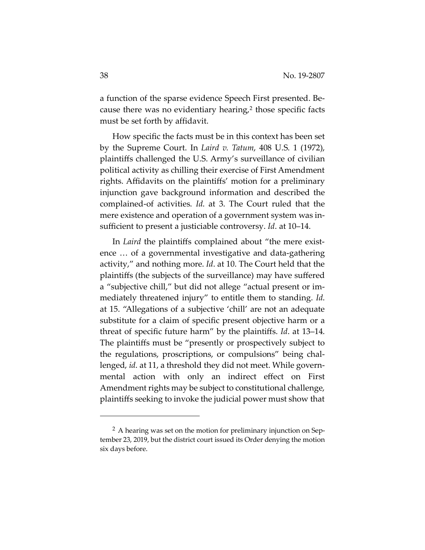a function of the sparse evidence Speech First presented. Because there was no evidentiary hearing, $2$  those specific facts must be set forth by affidavit.

How specific the facts must be in this context has been set by the Supreme Court. In *Laird v. Tatum*, 408 U.S. 1 (1972), plaintiffs challenged the U.S. Army's surveillance of civilian political activity as chilling their exercise of First Amendment rights. Affidavits on the plaintiffs' motion for a preliminary injunction gave background information and described the complained-of activities. *Id*. at 3. The Court ruled that the mere existence and operation of a government system was insufficient to present a justiciable controversy. *Id*. at 10–14.

In *Laird* the plaintiffs complained about "the mere existence … of a governmental investigative and data-gathering activity," and nothing more. *Id*. at 10. The Court held that the plaintiffs (the subjects of the surveillance) may have suffered a "subjective chill," but did not allege "actual present or immediately threatened injury" to entitle them to standing. *Id*. at 15. "Allegations of a subjective 'chill' are not an adequate substitute for a claim of specific present objective harm or a threat of specific future harm" by the plaintiffs. *Id*. at 13–14. The plaintiffs must be "presently or prospectively subject to the regulations, proscriptions, or compulsions" being challenged, *id*. at 11, a threshold they did not meet. While governmental action with only an indirect effect on First Amendment rights may be subject to constitutional challenge, plaintiffs seeking to invoke the judicial power must show that

<span id="page-37-0"></span><sup>&</sup>lt;sup>2</sup> A hearing was set on the motion for preliminary injunction on September 23, 2019, but the district court issued its Order denying the motion six days before.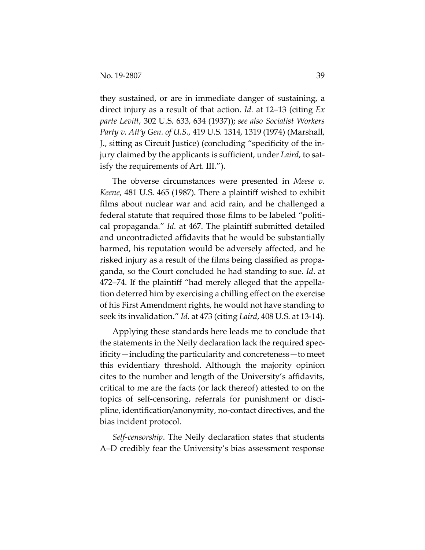they sustained, or are in immediate danger of sustaining, a direct injury as a result of that action. *Id.* at 12–13 (citing *Ex parte Levitt*, 302 U.S. 633, 634 (1937)); *see also Socialist Workers Party v. Att'y Gen. of U.S.*, 419 U.S. 1314, 1319 (1974) (Marshall, J., sitting as Circuit Justice) (concluding "specificity of the injury claimed by the applicants is sufficient, under *Laird*, to satisfy the requirements of Art. III.").

The obverse circumstances were presented in *Meese v. Keene*, 481 U.S. 465 (1987). There a plaintiff wished to exhibit films about nuclear war and acid rain, and he challenged a federal statute that required those films to be labeled "political propaganda." *Id.* at 467. The plaintiff submitted detailed and uncontradicted affidavits that he would be substantially harmed, his reputation would be adversely affected, and he risked injury as a result of the films being classified as propaganda, so the Court concluded he had standing to sue. *Id*. at 472–74. If the plaintiff "had merely alleged that the appellation deterred him by exercising a chilling effect on the exercise of his First Amendment rights, he would not have standing to seek its invalidation." *Id*. at 473 (citing *Laird*, 408 U.S. at 13-14).

Applying these standards here leads me to conclude that the statements in the Neily declaration lack the required specificity—including the particularity and concreteness—to meet this evidentiary threshold. Although the majority opinion cites to the number and length of the University's affidavits, critical to me are the facts (or lack thereof) attested to on the topics of self-censoring, referrals for punishment or discipline, identification/anonymity, no-contact directives, and the bias incident protocol.

*Self-censorship*. The Neily declaration states that students A–D credibly fear the University's bias assessment response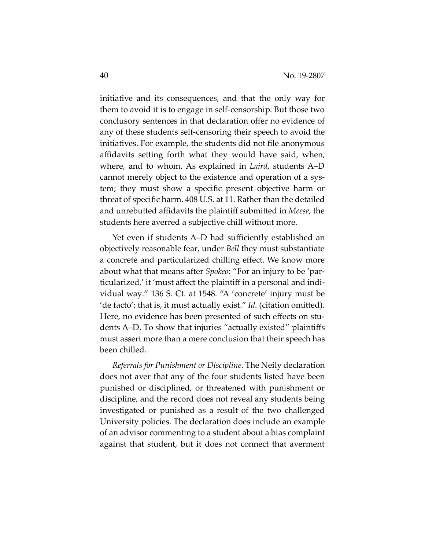initiative and its consequences, and that the only way for them to avoid it is to engage in self-censorship. But those two conclusory sentences in that declaration offer no evidence of any of these students self-censoring their speech to avoid the initiatives. For example, the students did not file anonymous affidavits setting forth what they would have said, when, where, and to whom. As explained in *Laird*, students A–D cannot merely object to the existence and operation of a system; they must show a specific present objective harm or threat of specific harm. 408 U.S. at 11. Rather than the detailed and unrebutted affidavits the plaintiff submitted in *Meese*, the students here averred a subjective chill without more.

Yet even if students A–D had sufficiently established an objectively reasonable fear, under *Bell* they must substantiate a concrete and particularized chilling effect. We know more about what that means after *Spokeo*: "For an injury to be 'particularized,' it 'must affect the plaintiff in a personal and individual way." 136 S. Ct. at 1548. "A 'concrete' injury must be 'de facto'; that is, it must actually exist." *Id*. (citation omitted). Here, no evidence has been presented of such effects on students A–D. To show that injuries "actually existed" plaintiffs must assert more than a mere conclusion that their speech has been chilled.

*Referrals for Punishment or Discipline*. The Neily declaration does not aver that any of the four students listed have been punished or disciplined, or threatened with punishment or discipline, and the record does not reveal any students being investigated or punished as a result of the two challenged University policies. The declaration does include an example of an advisor commenting to a student about a bias complaint against that student, but it does not connect that averment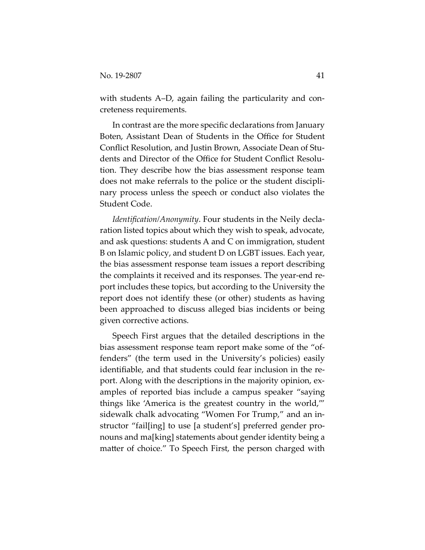with students A–D, again failing the particularity and concreteness requirements.

In contrast are the more specific declarations from January Boten, Assistant Dean of Students in the Office for Student Conflict Resolution, and Justin Brown, Associate Dean of Students and Director of the Office for Student Conflict Resolution. They describe how the bias assessment response team does not make referrals to the police or the student disciplinary process unless the speech or conduct also violates the Student Code.

*Identification/Anonymity*. Four students in the Neily declaration listed topics about which they wish to speak, advocate, and ask questions: students A and C on immigration, student B on Islamic policy, and student D on LGBT issues. Each year, the bias assessment response team issues a report describing the complaints it received and its responses. The year-end report includes these topics, but according to the University the report does not identify these (or other) students as having been approached to discuss alleged bias incidents or being given corrective actions.

Speech First argues that the detailed descriptions in the bias assessment response team report make some of the "offenders" (the term used in the University's policies) easily identifiable, and that students could fear inclusion in the report. Along with the descriptions in the majority opinion, examples of reported bias include a campus speaker "saying things like 'America is the greatest country in the world,'" sidewalk chalk advocating "Women For Trump," and an instructor "fail[ing] to use [a student's] preferred gender pronouns and ma[king] statements about gender identity being a matter of choice." To Speech First, the person charged with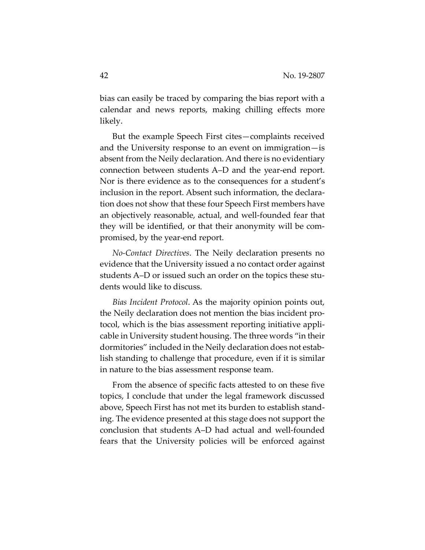bias can easily be traced by comparing the bias report with a calendar and news reports, making chilling effects more likely.

But the example Speech First cites—complaints received and the University response to an event on immigration—is absent from the Neily declaration. And there is no evidentiary connection between students A–D and the year-end report. Nor is there evidence as to the consequences for a student's inclusion in the report. Absent such information, the declaration does not show that these four Speech First members have an objectively reasonable, actual, and well-founded fear that they will be identified, or that their anonymity will be compromised, by the year-end report.

*No-Contact Directives*. The Neily declaration presents no evidence that the University issued a no contact order against students A–D or issued such an order on the topics these students would like to discuss.

*Bias Incident Protocol*. As the majority opinion points out, the Neily declaration does not mention the bias incident protocol, which is the bias assessment reporting initiative applicable in University student housing. The three words "in their dormitories" included in the Neily declaration does not establish standing to challenge that procedure, even if it is similar in nature to the bias assessment response team.

From the absence of specific facts attested to on these five topics, I conclude that under the legal framework discussed above, Speech First has not met its burden to establish standing. The evidence presented at this stage does not support the conclusion that students A–D had actual and well-founded fears that the University policies will be enforced against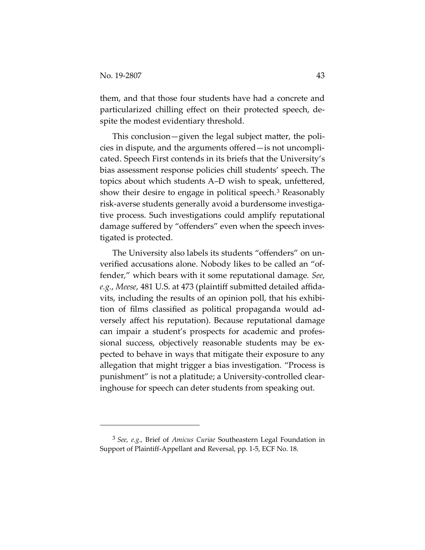them, and that those four students have had a concrete and particularized chilling effect on their protected speech, despite the modest evidentiary threshold.

This conclusion—given the legal subject matter, the policies in dispute, and the arguments offered—is not uncomplicated. Speech First contends in its briefs that the University's bias assessment response policies chill students' speech. The topics about which students A–D wish to speak, unfettered, show their desire to engage in political speech.[3](#page-42-0) Reasonably risk-averse students generally avoid a burdensome investigative process. Such investigations could amplify reputational damage suffered by "offenders" even when the speech investigated is protected.

The University also labels its students "offenders" on unverified accusations alone. Nobody likes to be called an "offender," which bears with it some reputational damage. *See*, *e.g.*, *Meese*, 481 U.S. at 473 (plaintiff submitted detailed affidavits, including the results of an opinion poll, that his exhibition of films classified as political propaganda would adversely affect his reputation). Because reputational damage can impair a student's prospects for academic and professional success, objectively reasonable students may be expected to behave in ways that mitigate their exposure to any allegation that might trigger a bias investigation. "Process is punishment" is not a platitude; a University-controlled clearinghouse for speech can deter students from speaking out.

<span id="page-42-0"></span><sup>3</sup> *See, e.g.,* Brief of *Amicus Curiae* Southeastern Legal Foundation in Support of Plaintiff-Appellant and Reversal, pp. 1-5, ECF No. 18.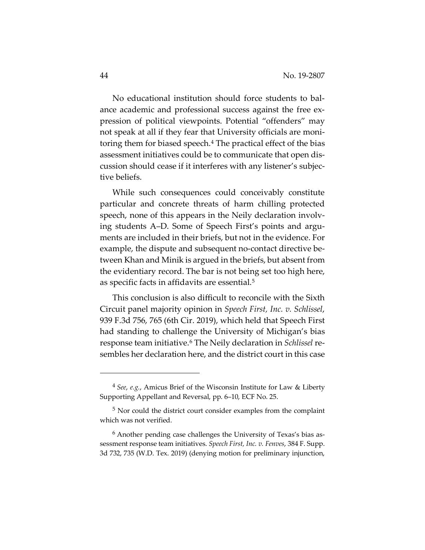No educational institution should force students to balance academic and professional success against the free expression of political viewpoints. Potential "offenders" may not speak at all if they fear that University officials are monitoring them for biased speech.[4](#page-43-0) The practical effect of the bias assessment initiatives could be to communicate that open discussion should cease if it interferes with any listener's subjective beliefs.

While such consequences could conceivably constitute particular and concrete threats of harm chilling protected speech, none of this appears in the Neily declaration involving students A–D. Some of Speech First's points and arguments are included in their briefs, but not in the evidence. For example, the dispute and subsequent no-contact directive between Khan and Minik is argued in the briefs, but absent from the evidentiary record. The bar is not being set too high here, as specific facts in affidavits are essential.<sup>[5](#page-43-1)</sup>

This conclusion is also difficult to reconcile with the Sixth Circuit panel majority opinion in *Speech First, Inc. v. Schlissel*, 939 F.3d 756, 765 (6th Cir. 2019), which held that Speech First had standing to challenge the University of Michigan's bias response team initiative.[6](#page-43-2) The Neily declaration in *Schlissel* resembles her declaration here, and the district court in this case

<span id="page-43-0"></span><sup>4</sup> *See*, *e.g.*, Amicus Brief of the Wisconsin Institute for Law & Liberty Supporting Appellant and Reversal, pp. 6–10, ECF No. 25.

<span id="page-43-1"></span><sup>&</sup>lt;sup>5</sup> Nor could the district court consider examples from the complaint which was not verified.

<span id="page-43-2"></span><sup>6</sup> Another pending case challenges the University of Texas's bias assessment response team initiatives. *Speech First, Inc. v. Fenves*, 384 F. Supp. 3d 732, 735 (W.D. Tex. 2019) (denying motion for preliminary injunction,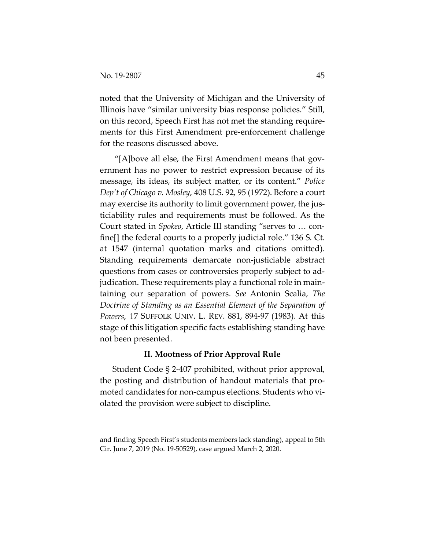noted that the University of Michigan and the University of Illinois have "similar university bias response policies." Still, on this record, Speech First has not met the standing requirements for this First Amendment pre-enforcement challenge for the reasons discussed above.

"[A]bove all else, the First Amendment means that government has no power to restrict expression because of its message, its ideas, its subject matter, or its content." *Police Dep't of Chicago v. Mosley*, 408 U.S. 92, 95 (1972). Before a court may exercise its authority to limit government power, the justiciability rules and requirements must be followed. As the Court stated in *Spokeo*, Article III standing "serves to … confine[] the federal courts to a properly judicial role." 136 S. Ct. at 1547 (internal quotation marks and citations omitted). Standing requirements demarcate non-justiciable abstract questions from cases or controversies properly subject to adjudication. These requirements play a functional role in maintaining our separation of powers. *See* Antonin Scalia, *The Doctrine of Standing as an Essential Element of the Separation of Powers*, 17 SUFFOLK UNIV. L. REV. 881, 894-97 (1983). At this stage of this litigation specific facts establishing standing have not been presented.

#### **II. Mootness of Prior Approval Rule**

Student Code § 2-407 prohibited, without prior approval, the posting and distribution of handout materials that promoted candidates for non-campus elections. Students who violated the provision were subject to discipline.

and finding Speech First's students members lack standing), appeal to 5th Cir. June 7, 2019 (No. 19-50529), case argued March 2, 2020.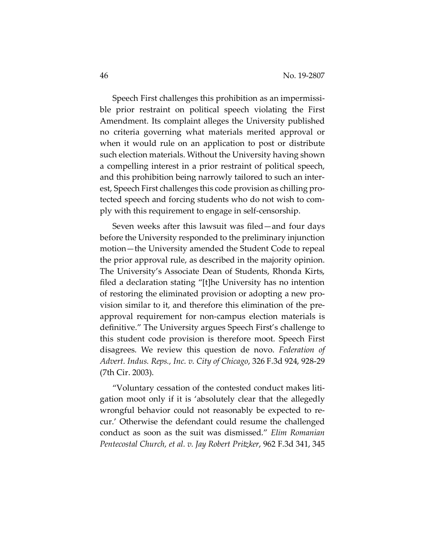Speech First challenges this prohibition as an impermissible prior restraint on political speech violating the First Amendment. Its complaint alleges the University published no criteria governing what materials merited approval or when it would rule on an application to post or distribute such election materials. Without the University having shown a compelling interest in a prior restraint of political speech, and this prohibition being narrowly tailored to such an interest, Speech First challenges this code provision as chilling protected speech and forcing students who do not wish to comply with this requirement to engage in self-censorship.

Seven weeks after this lawsuit was filed—and four days before the University responded to the preliminary injunction motion—the University amended the Student Code to repeal the prior approval rule, as described in the majority opinion. The University's Associate Dean of Students, Rhonda Kirts, filed a declaration stating "[t]he University has no intention of restoring the eliminated provision or adopting a new provision similar to it, and therefore this elimination of the preapproval requirement for non-campus election materials is definitive." The University argues Speech First's challenge to this student code provision is therefore moot. Speech First disagrees. We review this question de novo. *Federation of Advert. Indus. Reps., Inc. v. City of Chicago*, 326 F.3d 924, 928-29 (7th Cir. 2003).

"Voluntary cessation of the contested conduct makes litigation moot only if it is 'absolutely clear that the allegedly wrongful behavior could not reasonably be expected to recur.' Otherwise the defendant could resume the challenged conduct as soon as the suit was dismissed." *Elim Romanian Pentecostal Church, et al. v. Jay Robert Pritzker*, 962 F.3d 341, 345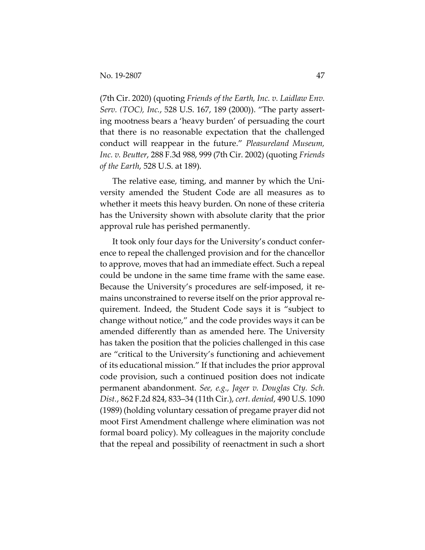(7th Cir. 2020) (quoting *Friends of the Earth, Inc. v. Laidlaw Env. Serv. (TOC), Inc.*, 528 U.S. 167, 189 (2000)). "The party asserting mootness bears a 'heavy burden' of persuading the court that there is no reasonable expectation that the challenged conduct will reappear in the future." *Pleasureland Museum, Inc. v. Beutter*, 288 F.3d 988, 999 (7th Cir. 2002) (quoting *Friends of the Earth*, 528 U.S. at 189).

The relative ease, timing, and manner by which the University amended the Student Code are all measures as to whether it meets this heavy burden. On none of these criteria has the University shown with absolute clarity that the prior approval rule has perished permanently.

It took only four days for the University's conduct conference to repeal the challenged provision and for the chancellor to approve, moves that had an immediate effect. Such a repeal could be undone in the same time frame with the same ease. Because the University's procedures are self-imposed, it remains unconstrained to reverse itself on the prior approval requirement. Indeed, the Student Code says it is "subject to change without notice," and the code provides ways it can be amended differently than as amended here. The University has taken the position that the policies challenged in this case are "critical to the University's functioning and achievement of its educational mission." If that includes the prior approval code provision, such a continued position does not indicate permanent abandonment. *See, e.g., Jager v. Douglas Cty. Sch. Dist.*, 862 F.2d 824, 833–34 (11th Cir.), *cert. denied*, 490 U.S. 1090 (1989) (holding voluntary cessation of pregame prayer did not moot First Amendment challenge where elimination was not formal board policy). My colleagues in the majority conclude that the repeal and possibility of reenactment in such a short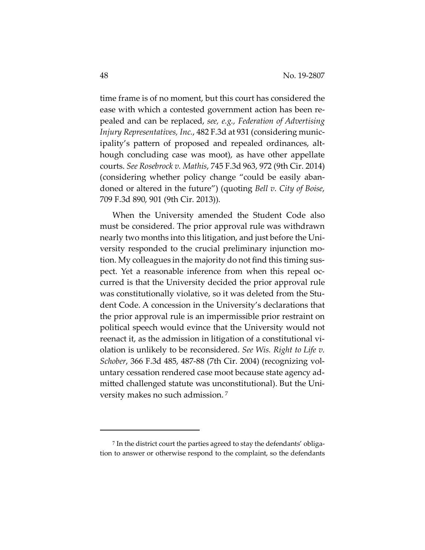time frame is of no moment, but this court has considered the ease with which a contested government action has been repealed and can be replaced, *see, e.g., Federation of Advertising Injury Representatives, Inc.*, 482 F.3d at 931 (considering municipality's pattern of proposed and repealed ordinances, although concluding case was moot), as have other appellate courts. *See Rosebrock v. Mathis*, 745 F.3d 963, 972 (9th Cir. 2014) (considering whether policy change "could be easily abandoned or altered in the future") (quoting *Bell v. City of Boise*, 709 F.3d 890, 901 (9th Cir. 2013)).

When the University amended the Student Code also must be considered. The prior approval rule was withdrawn nearly two months into this litigation, and just before the University responded to the crucial preliminary injunction motion. My colleagues in the majority do not find this timing suspect. Yet a reasonable inference from when this repeal occurred is that the University decided the prior approval rule was constitutionally violative, so it was deleted from the Student Code. A concession in the University's declarations that the prior approval rule is an impermissible prior restraint on political speech would evince that the University would not reenact it, as the admission in litigation of a constitutional violation is unlikely to be reconsidered. *See Wis. Right to Life v. Schober*, 366 F.3d 485, 487-88 (7th Cir. 2004) (recognizing voluntary cessation rendered case moot because state agency admitted challenged statute was unconstitutional). But the University makes no such admission. [7](#page-47-0)

<span id="page-47-0"></span><sup>7</sup> In the district court the parties agreed to stay the defendants' obligation to answer or otherwise respond to the complaint, so the defendants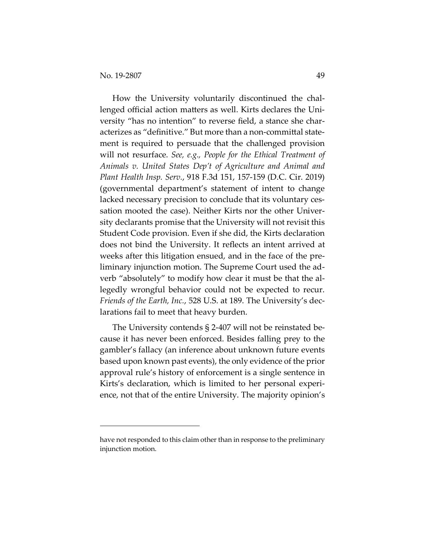How the University voluntarily discontinued the challenged official action matters as well. Kirts declares the University "has no intention" to reverse field, a stance she characterizes as "definitive." But more than a non-committal statement is required to persuade that the challenged provision will not resurface. *See, e.g., People for the Ethical Treatment of Animals v. United States Dep't of Agriculture and Animal and Plant Health Insp. Serv.*, 918 F.3d 151, 157-159 (D.C. Cir. 2019) (governmental department's statement of intent to change lacked necessary precision to conclude that its voluntary cessation mooted the case). Neither Kirts nor the other University declarants promise that the University will not revisit this Student Code provision. Even if she did, the Kirts declaration does not bind the University. It reflects an intent arrived at weeks after this litigation ensued, and in the face of the preliminary injunction motion. The Supreme Court used the adverb "absolutely" to modify how clear it must be that the allegedly wrongful behavior could not be expected to recur. *Friends of the Earth, Inc.*, 528 U.S. at 189. The University's declarations fail to meet that heavy burden.

The University contends § 2-407 will not be reinstated because it has never been enforced. Besides falling prey to the gambler's fallacy (an inference about unknown future events based upon known past events), the only evidence of the prior approval rule's history of enforcement is a single sentence in Kirts's declaration, which is limited to her personal experience, not that of the entire University. The majority opinion's

have not responded to this claim other than in response to the preliminary injunction motion.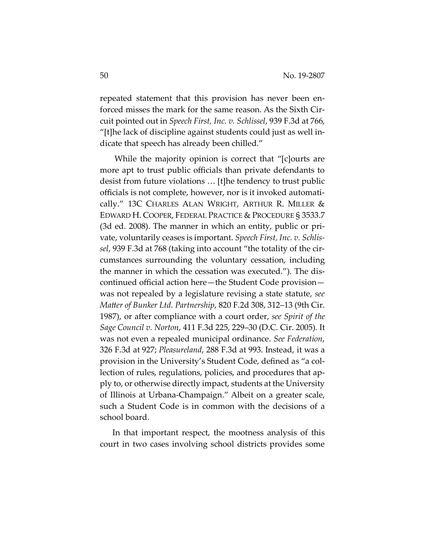repeated statement that this provision has never been enforced misses the mark for the same reason. As the Sixth Circuit pointed out in *Speech First, Inc. v. Schlissel*, 939 F.3d at 766, "[t]he lack of discipline against students could just as well indicate that speech has already been chilled."

While the majority opinion is correct that "[c]ourts are more apt to trust public officials than private defendants to desist from future violations … [t]he tendency to trust public officials is not complete, however, nor is it invoked automatically." 13C CHARLES ALAN WRIGHT, ARTHUR R. MILLER & EDWARD H. COOPER, FEDERAL PRACTICE & PROCEDURE § 3533.7 (3d ed. 2008). The manner in which an entity, public or private, voluntarily ceases is important. *Speech First, Inc. v. Schlissel*, 939 F.3d at 768 (taking into account "the totality of the circumstances surrounding the voluntary cessation, including the manner in which the cessation was executed."). The discontinued official action here—the Student Code provision was not repealed by a legislature revising a state statute, *see Matter of Bunker Ltd. Partnership*, 820 F.2d 308, 312–13 (9th Cir. 1987), or after compliance with a court order, *see Spirit of the Sage Council v. Norton*, 411 F.3d 225, 229–30 (D.C. Cir. 2005). It was not even a repealed municipal ordinance. *See Federation*, 326 F.3d at 927; *Pleasureland*, 288 F.3d at 993. Instead, it was a provision in the University's Student Code, defined as "a collection of rules, regulations, policies, and procedures that apply to, or otherwise directly impact, students at the University of Illinois at Urbana-Champaign." Albeit on a greater scale, such a Student Code is in common with the decisions of a school board.

In that important respect, the mootness analysis of this court in two cases involving school districts provides some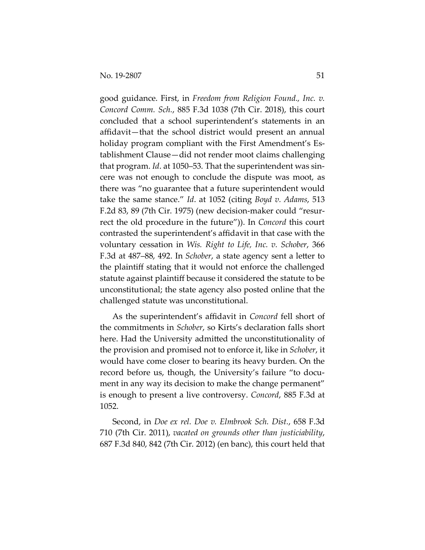good guidance. First, in *Freedom from Religion Found., Inc. v. Concord Comm. Sch.*, 885 F.3d 1038 (7th Cir. 2018), this court concluded that a school superintendent's statements in an affidavit—that the school district would present an annual holiday program compliant with the First Amendment's Establishment Clause—did not render moot claims challenging that program. *Id*. at 1050–53. That the superintendent was sincere was not enough to conclude the dispute was moot, as there was "no guarantee that a future superintendent would take the same stance." *Id*. at 1052 (citing *Boyd v. Adams*, 513 F.2d 83, 89 (7th Cir. 1975) (new decision-maker could "resurrect the old procedure in the future")). In *Concord* this court contrasted the superintendent's affidavit in that case with the voluntary cessation in *Wis. Right to Life, Inc. v. Schober*, 366 F.3d at 487–88, 492. In *Schober*, a state agency sent a letter to the plaintiff stating that it would not enforce the challenged statute against plaintiff because it considered the statute to be unconstitutional; the state agency also posted online that the challenged statute was unconstitutional.

As the superintendent's affidavit in *Concord* fell short of the commitments in *Schober*, so Kirts's declaration falls short here. Had the University admitted the unconstitutionality of the provision and promised not to enforce it, like in *Schober*, it would have come closer to bearing its heavy burden. On the record before us, though, the University's failure "to document in any way its decision to make the change permanent" is enough to present a live controversy. *Concord*, 885 F.3d at 1052.

Second, in *Doe ex rel. Doe v. Elmbrook Sch. Dist.*, 658 F.3d 710 (7th Cir. 2011), *vacated on grounds other than justiciability*, 687 F.3d 840, 842 (7th Cir. 2012) (en banc), this court held that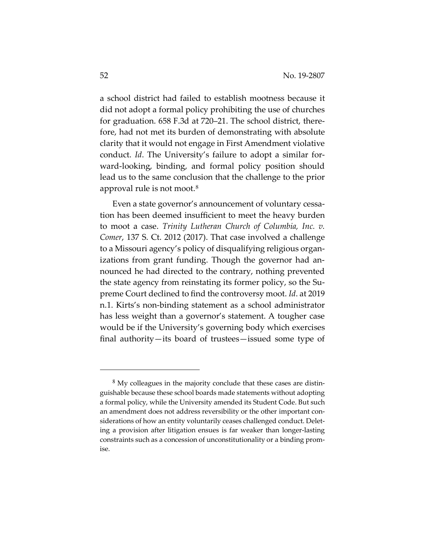a school district had failed to establish mootness because it did not adopt a formal policy prohibiting the use of churches for graduation. 658 F.3d at 720–21. The school district, therefore, had not met its burden of demonstrating with absolute clarity that it would not engage in First Amendment violative conduct. *Id*. The University's failure to adopt a similar forward-looking, binding, and formal policy position should lead us to the same conclusion that the challenge to the prior approval rule is not moot.<sup>[8](#page-51-0)</sup>

Even a state governor's announcement of voluntary cessation has been deemed insufficient to meet the heavy burden to moot a case. *Trinity Lutheran Church of Columbia, Inc. v. Comer*, 137 S. Ct. 2012 (2017). That case involved a challenge to a Missouri agency's policy of disqualifying religious organizations from grant funding. Though the governor had announced he had directed to the contrary, nothing prevented the state agency from reinstating its former policy, so the Supreme Court declined to find the controversy moot. *Id*. at 2019 n.1. Kirts's non-binding statement as a school administrator has less weight than a governor's statement. A tougher case would be if the University's governing body which exercises final authority—its board of trustees—issued some type of

<span id="page-51-0"></span><sup>&</sup>lt;sup>8</sup> My colleagues in the majority conclude that these cases are distinguishable because these school boards made statements without adopting a formal policy, while the University amended its Student Code. But such an amendment does not address reversibility or the other important considerations of how an entity voluntarily ceases challenged conduct. Deleting a provision after litigation ensues is far weaker than longer-lasting constraints such as a concession of unconstitutionality or a binding promise.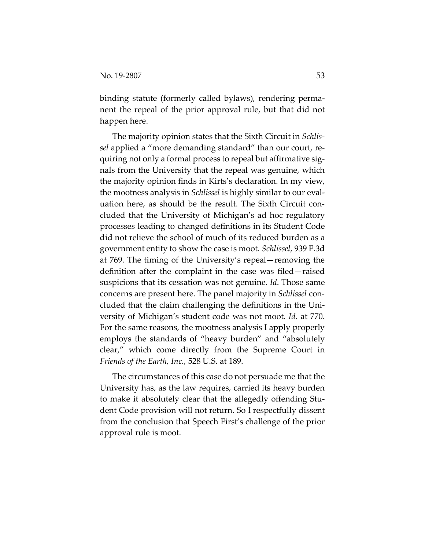binding statute (formerly called bylaws), rendering permanent the repeal of the prior approval rule, but that did not happen here.

The majority opinion states that the Sixth Circuit in *Schlissel* applied a "more demanding standard" than our court, requiring not only a formal process to repeal but affirmative signals from the University that the repeal was genuine, which the majority opinion finds in Kirts's declaration. In my view, the mootness analysis in *Schlissel* is highly similar to our evaluation here, as should be the result. The Sixth Circuit concluded that the University of Michigan's ad hoc regulatory processes leading to changed definitions in its Student Code did not relieve the school of much of its reduced burden as a government entity to show the case is moot. *Schlissel*, 939 F.3d at 769. The timing of the University's repeal—removing the definition after the complaint in the case was filed—raised suspicions that its cessation was not genuine. *Id*. Those same concerns are present here. The panel majority in *Schlissel* concluded that the claim challenging the definitions in the University of Michigan's student code was not moot. *Id*. at 770. For the same reasons, the mootness analysis I apply properly employs the standards of "heavy burden" and "absolutely clear," which come directly from the Supreme Court in *Friends of the Earth, Inc.*, 528 U.S. at 189.

The circumstances of this case do not persuade me that the University has, as the law requires, carried its heavy burden to make it absolutely clear that the allegedly offending Student Code provision will not return. So I respectfully dissent from the conclusion that Speech First's challenge of the prior approval rule is moot.